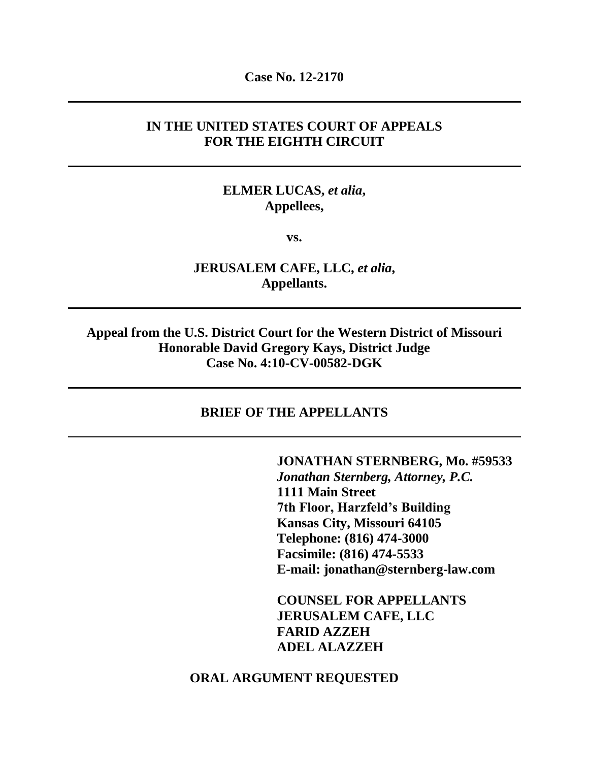**Case No. 12-2170**

## **IN THE UNITED STATES COURT OF APPEALS FOR THE EIGHTH CIRCUIT**

## **ELMER LUCAS,** *et alia***, Appellees,**

**vs.**

## **JERUSALEM CAFE, LLC,** *et alia***, Appellants.**

**Appeal from the U.S. District Court for the Western District of Missouri Honorable David Gregory Kays, District Judge Case No. 4:10-CV-00582-DGK**

## **BRIEF OF THE APPELLANTS**

## **JONATHAN STERNBERG, Mo. #59533** *Jonathan Sternberg, Attorney, P.C.* **1111 Main Street 7th Floor, Harzfeld's Building Kansas City, Missouri 64105 Telephone: (816) 474-3000 Facsimile: (816) 474-5533 E-mail: jonathan@sternberg-law.com**

**COUNSEL FOR APPELLANTS JERUSALEM CAFE, LLC FARID AZZEH ADEL ALAZZEH**

## **ORAL ARGUMENT REQUESTED**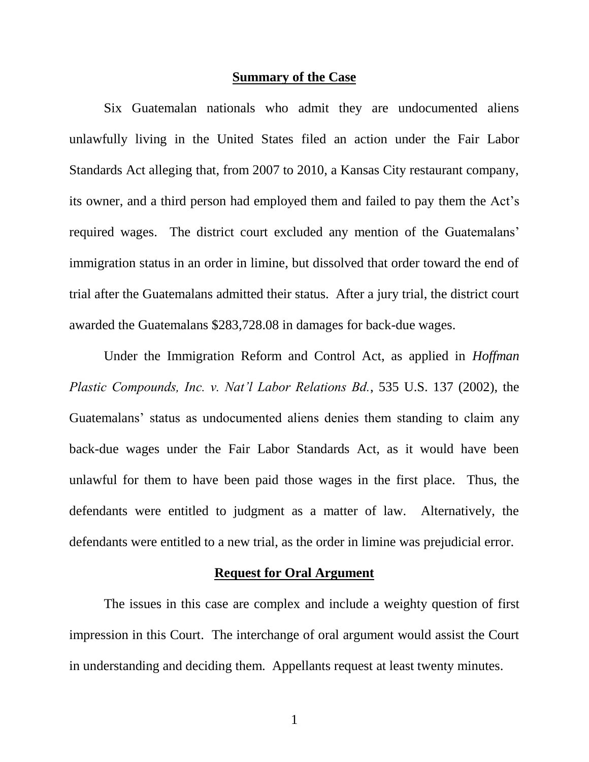#### **Summary of the Case**

Six Guatemalan nationals who admit they are undocumented aliens unlawfully living in the United States filed an action under the Fair Labor Standards Act alleging that, from 2007 to 2010, a Kansas City restaurant company, its owner, and a third person had employed them and failed to pay them the Act's required wages. The district court excluded any mention of the Guatemalans' immigration status in an order in limine, but dissolved that order toward the end of trial after the Guatemalans admitted their status. After a jury trial, the district court awarded the Guatemalans \$283,728.08 in damages for back-due wages.

Under the Immigration Reform and Control Act, as applied in *Hoffman Plastic Compounds, Inc. v. Nat'l Labor Relations Bd.*, 535 U.S. 137 (2002), the Guatemalans' status as undocumented aliens denies them standing to claim any back-due wages under the Fair Labor Standards Act, as it would have been unlawful for them to have been paid those wages in the first place. Thus, the defendants were entitled to judgment as a matter of law. Alternatively, the defendants were entitled to a new trial, as the order in limine was prejudicial error.

## **Request for Oral Argument**

The issues in this case are complex and include a weighty question of first impression in this Court. The interchange of oral argument would assist the Court in understanding and deciding them. Appellants request at least twenty minutes.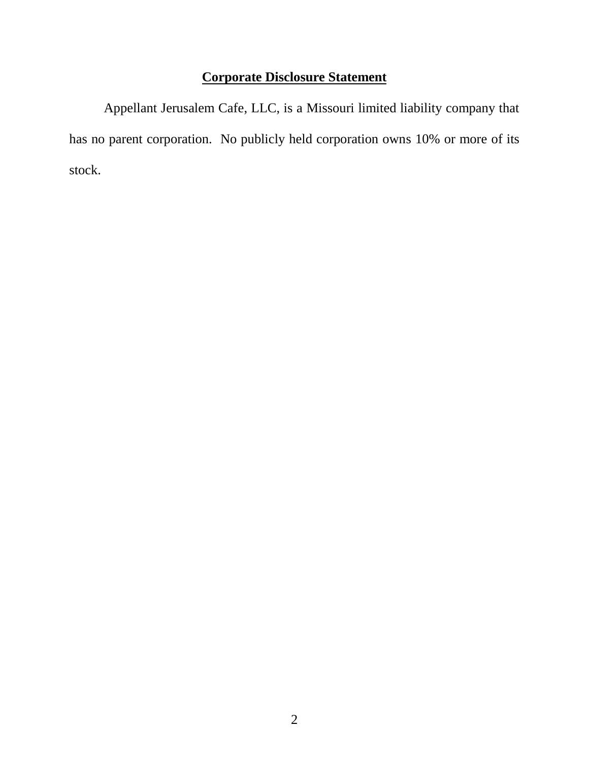# **Corporate Disclosure Statement**

Appellant Jerusalem Cafe, LLC, is a Missouri limited liability company that has no parent corporation. No publicly held corporation owns 10% or more of its stock.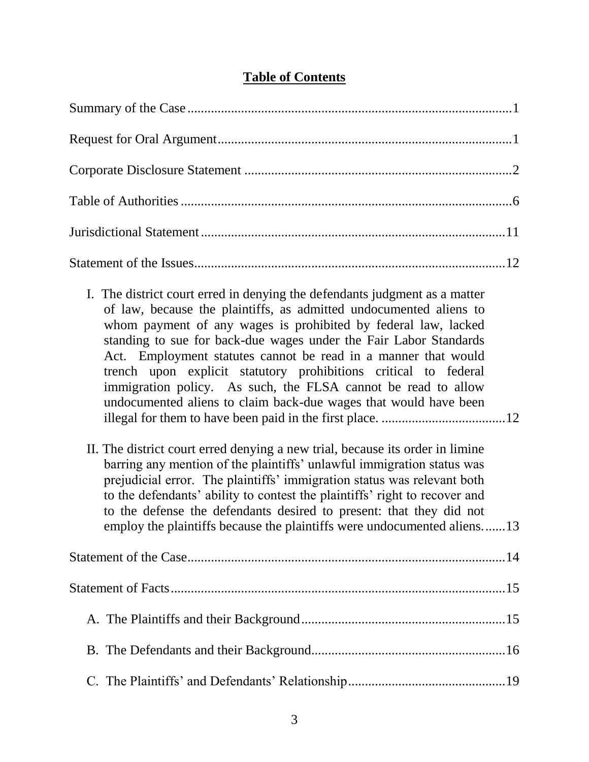|  | <b>Table of Contents</b> |
|--|--------------------------|
|  |                          |

| I. The district court erred in denying the defendants judgment as a matter<br>of law, because the plaintiffs, as admitted undocumented aliens to<br>whom payment of any wages is prohibited by federal law, lacked<br>standing to sue for back-due wages under the Fair Labor Standards<br>Act. Employment statutes cannot be read in a manner that would<br>trench upon explicit statutory prohibitions critical to federal<br>immigration policy. As such, the FLSA cannot be read to allow<br>undocumented aliens to claim back-due wages that would have been<br>II. The district court erred denying a new trial, because its order in limine<br>barring any mention of the plaintiffs' unlawful immigration status was<br>prejudicial error. The plaintiffs' immigration status was relevant both<br>to the defendants' ability to contest the plaintiffs' right to recover and<br>to the defense the defendants desired to present: that they did not<br>employ the plaintiffs because the plaintiffs were undocumented aliens<br>$\dots$ 13 |
|-----------------------------------------------------------------------------------------------------------------------------------------------------------------------------------------------------------------------------------------------------------------------------------------------------------------------------------------------------------------------------------------------------------------------------------------------------------------------------------------------------------------------------------------------------------------------------------------------------------------------------------------------------------------------------------------------------------------------------------------------------------------------------------------------------------------------------------------------------------------------------------------------------------------------------------------------------------------------------------------------------------------------------------------------------|
|                                                                                                                                                                                                                                                                                                                                                                                                                                                                                                                                                                                                                                                                                                                                                                                                                                                                                                                                                                                                                                                     |
|                                                                                                                                                                                                                                                                                                                                                                                                                                                                                                                                                                                                                                                                                                                                                                                                                                                                                                                                                                                                                                                     |
|                                                                                                                                                                                                                                                                                                                                                                                                                                                                                                                                                                                                                                                                                                                                                                                                                                                                                                                                                                                                                                                     |
|                                                                                                                                                                                                                                                                                                                                                                                                                                                                                                                                                                                                                                                                                                                                                                                                                                                                                                                                                                                                                                                     |
|                                                                                                                                                                                                                                                                                                                                                                                                                                                                                                                                                                                                                                                                                                                                                                                                                                                                                                                                                                                                                                                     |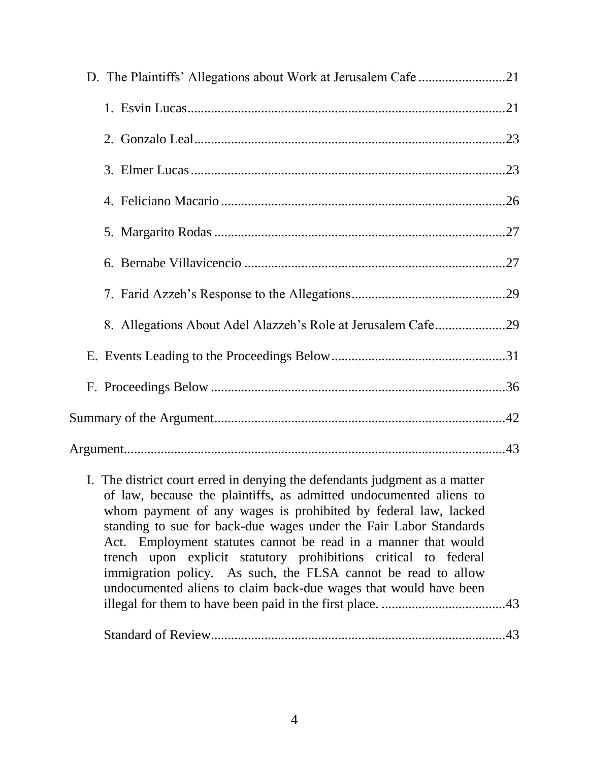| 8. Allegations About Adel Alazzeh's Role at Jerusalem Cafe29                                                                                                                                                                                                                                                                                                                                                                                                                                                                                                      |     |
|-------------------------------------------------------------------------------------------------------------------------------------------------------------------------------------------------------------------------------------------------------------------------------------------------------------------------------------------------------------------------------------------------------------------------------------------------------------------------------------------------------------------------------------------------------------------|-----|
|                                                                                                                                                                                                                                                                                                                                                                                                                                                                                                                                                                   |     |
|                                                                                                                                                                                                                                                                                                                                                                                                                                                                                                                                                                   |     |
|                                                                                                                                                                                                                                                                                                                                                                                                                                                                                                                                                                   |     |
|                                                                                                                                                                                                                                                                                                                                                                                                                                                                                                                                                                   |     |
| I. The district court erred in denying the defendants judgment as a matter<br>of law, because the plaintiffs, as admitted undocumented aliens to<br>whom payment of any wages is prohibited by federal law, lacked<br>standing to sue for back-due wages under the Fair Labor Standards<br>Act. Employment statutes cannot be read in a manner that would<br>trench upon explicit statutory prohibitions critical to federal<br>immigration policy. As such, the FLSA cannot be read to allow<br>undocumented aliens to claim back-due wages that would have been | .43 |
|                                                                                                                                                                                                                                                                                                                                                                                                                                                                                                                                                                   | .43 |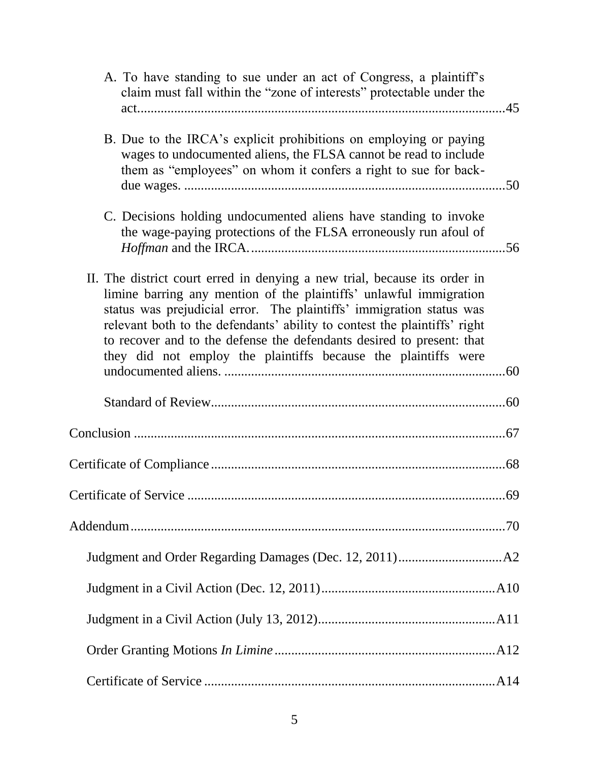| A. To have standing to sue under an act of Congress, a plaintiff's<br>claim must fall within the "zone of interests" protectable under the                                                                                                                                                                                                                                                                                                      |     |
|-------------------------------------------------------------------------------------------------------------------------------------------------------------------------------------------------------------------------------------------------------------------------------------------------------------------------------------------------------------------------------------------------------------------------------------------------|-----|
| B. Due to the IRCA's explicit prohibitions on employing or paying<br>wages to undocumented aliens, the FLSA cannot be read to include<br>them as "employees" on whom it confers a right to sue for back-                                                                                                                                                                                                                                        |     |
| C. Decisions holding undocumented aliens have standing to invoke<br>the wage-paying protections of the FLSA erroneously run afoul of                                                                                                                                                                                                                                                                                                            |     |
| II. The district court erred in denying a new trial, because its order in<br>limine barring any mention of the plaintiffs' unlawful immigration<br>status was prejudicial error. The plaintiffs' immigration status was<br>relevant both to the defendants' ability to contest the plaintiffs' right<br>to recover and to the defense the defendants desired to present: that<br>they did not employ the plaintiffs because the plaintiffs were |     |
|                                                                                                                                                                                                                                                                                                                                                                                                                                                 |     |
|                                                                                                                                                                                                                                                                                                                                                                                                                                                 |     |
|                                                                                                                                                                                                                                                                                                                                                                                                                                                 |     |
| Certificate of Service                                                                                                                                                                                                                                                                                                                                                                                                                          | .69 |
|                                                                                                                                                                                                                                                                                                                                                                                                                                                 |     |
|                                                                                                                                                                                                                                                                                                                                                                                                                                                 |     |
|                                                                                                                                                                                                                                                                                                                                                                                                                                                 |     |
|                                                                                                                                                                                                                                                                                                                                                                                                                                                 |     |
|                                                                                                                                                                                                                                                                                                                                                                                                                                                 |     |
|                                                                                                                                                                                                                                                                                                                                                                                                                                                 |     |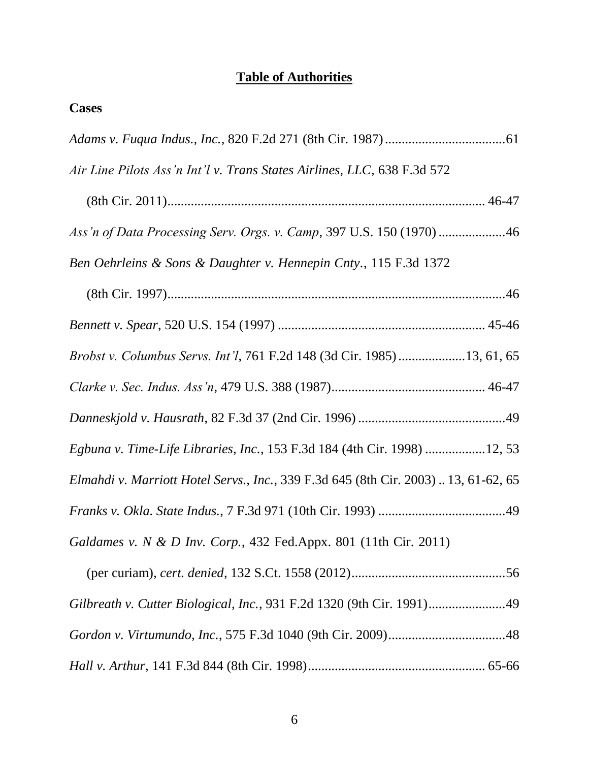# **Table of Authorities**

| <b>Cases</b>                                                                        |
|-------------------------------------------------------------------------------------|
|                                                                                     |
| Air Line Pilots Ass'n Int'l v. Trans States Airlines, LLC, 638 F.3d 572             |
|                                                                                     |
| Ass'n of Data Processing Serv. Orgs. v. Camp, 397 U.S. 150 (1970) 46                |
| Ben Oehrleins & Sons & Daughter v. Hennepin Cnty., 115 F.3d 1372                    |
|                                                                                     |
|                                                                                     |
| Brobst v. Columbus Servs. Int'l, 761 F.2d 148 (3d Cir. 1985)13, 61, 65              |
|                                                                                     |
|                                                                                     |
| Egbuna v. Time-Life Libraries, Inc., 153 F.3d 184 (4th Cir. 1998) 12, 53            |
| Elmahdi v. Marriott Hotel Servs., Inc., 339 F.3d 645 (8th Cir. 2003)  13, 61-62, 65 |
|                                                                                     |
| Galdames v. N & D Inv. Corp., 432 Fed.Appx. 801 (11th Cir. 2011)                    |
|                                                                                     |
| Gilbreath v. Cutter Biological, Inc., 931 F.2d 1320 (9th Cir. 1991)49               |
|                                                                                     |
|                                                                                     |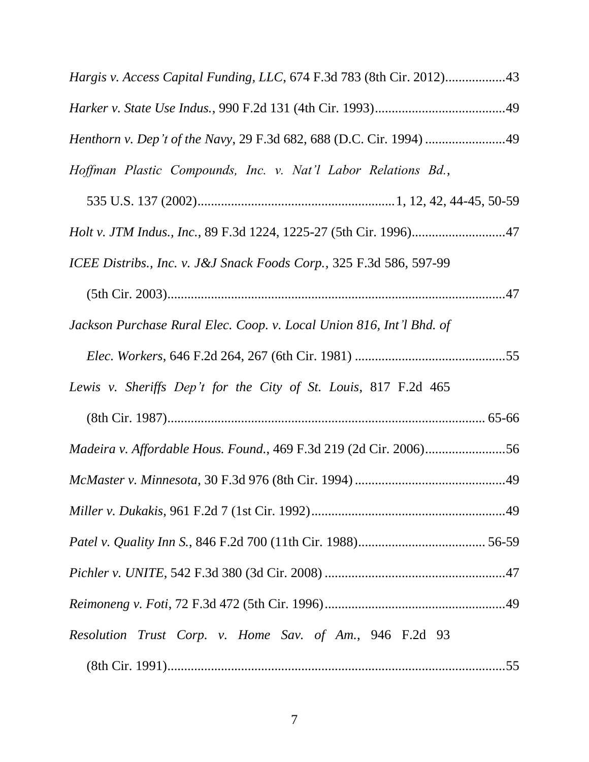| Hargis v. Access Capital Funding, LLC, 674 F.3d 783 (8th Cir. 2012)43     |
|---------------------------------------------------------------------------|
|                                                                           |
| Henthorn v. Dep't of the Navy, 29 F.3d 682, 688 (D.C. Cir. 1994) 49       |
| Hoffman Plastic Compounds, Inc. v. Nat'l Labor Relations Bd.,             |
|                                                                           |
| Holt v. JTM Indus., Inc., 89 F.3d 1224, 1225-27 (5th Cir. 1996)47         |
| ICEE Distribs., Inc. v. J&J Snack Foods Corp., 325 F.3d 586, 597-99       |
|                                                                           |
| Jackson Purchase Rural Elec. Coop. v. Local Union 816, Int'l Bhd. of      |
|                                                                           |
| Lewis v. Sheriffs Dep't for the City of St. Louis, 817 F.2d 465           |
|                                                                           |
| <i>Madeira v. Affordable Hous. Found.</i> , 469 F.3d 219 (2d Cir. 2006)56 |
|                                                                           |
|                                                                           |
|                                                                           |
|                                                                           |
|                                                                           |
| Resolution Trust Corp. v. Home Sav. of Am., 946 F.2d 93                   |
|                                                                           |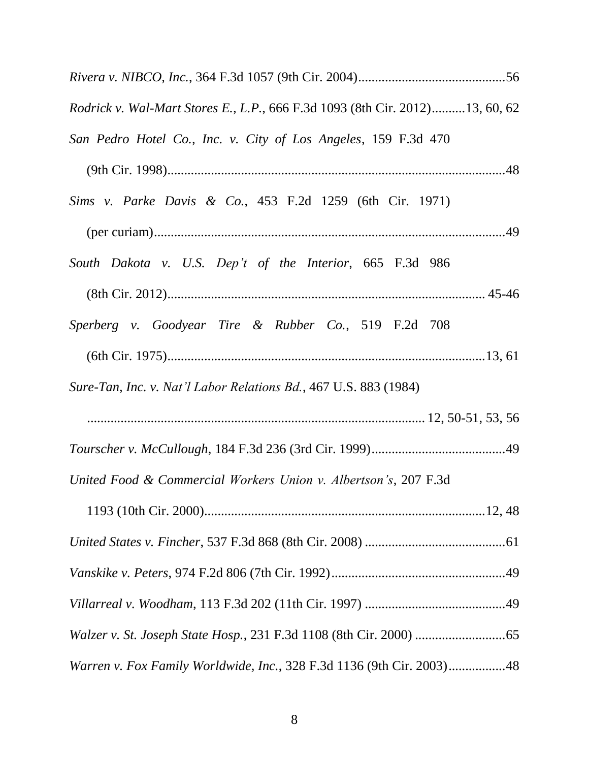| <i>Rodrick v. Wal-Mart Stores E., L.P.,</i> 666 F.3d 1093 (8th Cir. 2012)13, 60, 62 |
|-------------------------------------------------------------------------------------|
| San Pedro Hotel Co., Inc. v. City of Los Angeles, 159 F.3d 470                      |
|                                                                                     |
| Sims v. Parke Davis & Co., 453 F.2d 1259 (6th Cir. 1971)                            |
|                                                                                     |
| South Dakota v. U.S. Dep't of the Interior, 665 F.3d 986                            |
|                                                                                     |
| Sperberg v. Goodyear Tire & Rubber Co., 519 F.2d 708                                |
|                                                                                     |
| Sure-Tan, Inc. v. Nat'l Labor Relations Bd., 467 U.S. 883 (1984)                    |
|                                                                                     |
|                                                                                     |
| United Food & Commercial Workers Union v. Albertson's, 207 F.3d                     |
|                                                                                     |
|                                                                                     |
|                                                                                     |
|                                                                                     |
|                                                                                     |
| Warren v. Fox Family Worldwide, Inc., 328 F.3d 1136 (9th Cir. 2003)48               |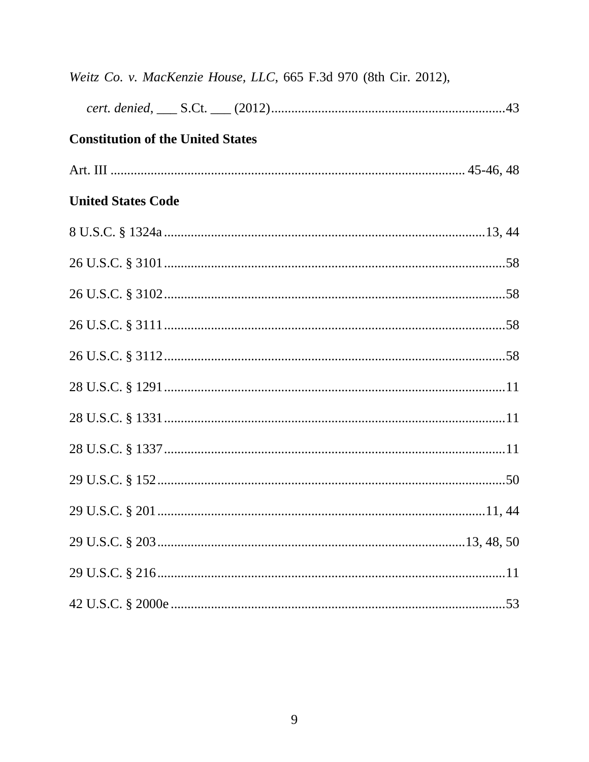| Weitz Co. v. MacKenzie House, LLC, 665 F.3d 970 (8th Cir. 2012), |  |
|------------------------------------------------------------------|--|
|                                                                  |  |
| <b>Constitution of the United States</b>                         |  |
|                                                                  |  |
| <b>United States Code</b>                                        |  |
|                                                                  |  |
|                                                                  |  |
|                                                                  |  |
|                                                                  |  |
|                                                                  |  |
|                                                                  |  |
|                                                                  |  |
|                                                                  |  |
|                                                                  |  |
|                                                                  |  |
|                                                                  |  |
|                                                                  |  |
|                                                                  |  |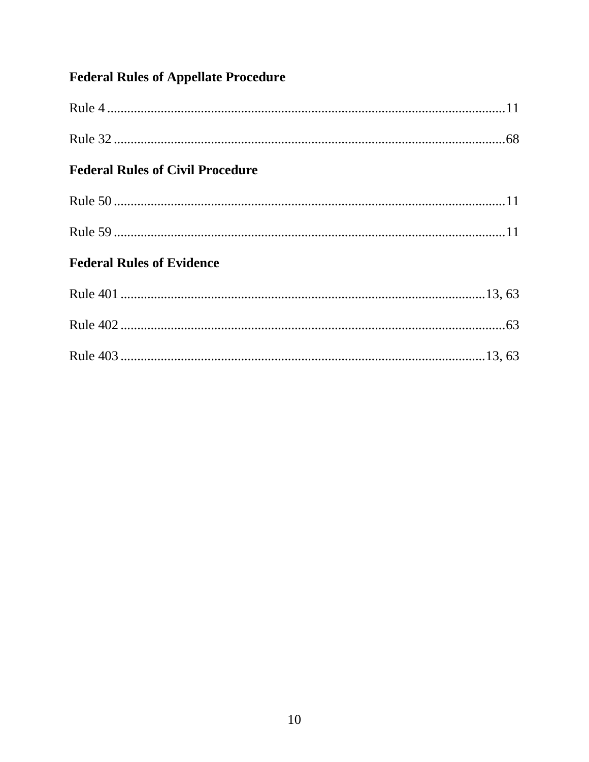# **Federal Rules of Appellate Procedure**

| <b>Federal Rules of Civil Procedure</b> |  |
|-----------------------------------------|--|
|                                         |  |
|                                         |  |
| <b>Federal Rules of Evidence</b>        |  |
|                                         |  |
|                                         |  |
|                                         |  |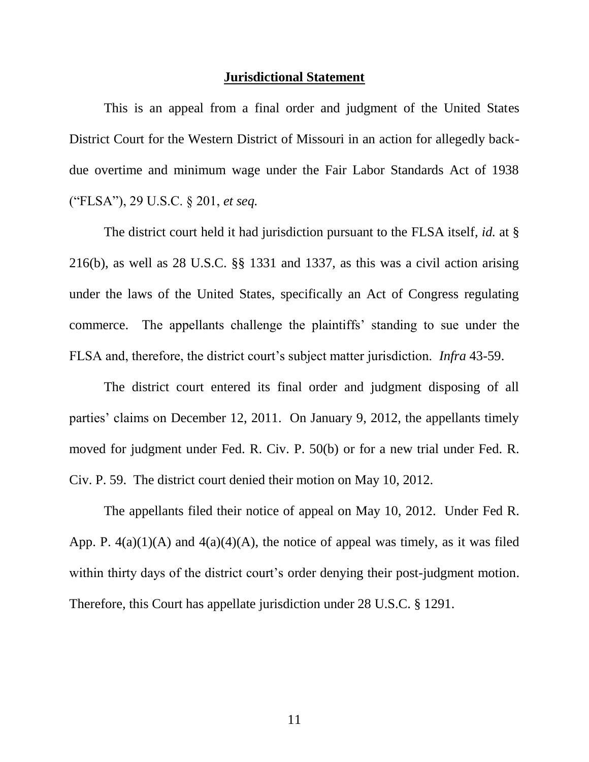#### **Jurisdictional Statement**

This is an appeal from a final order and judgment of the United States District Court for the Western District of Missouri in an action for allegedly backdue overtime and minimum wage under the Fair Labor Standards Act of 1938 ("FLSA"), 29 U.S.C. § 201, *et seq.*

The district court held it had jurisdiction pursuant to the FLSA itself, *id.* at § 216(b), as well as 28 U.S.C. §§ 1331 and 1337, as this was a civil action arising under the laws of the United States, specifically an Act of Congress regulating commerce. The appellants challenge the plaintiffs' standing to sue under the FLSA and, therefore, the district court's subject matter jurisdiction. *Infra* 43-59.

The district court entered its final order and judgment disposing of all parties' claims on December 12, 2011. On January 9, 2012, the appellants timely moved for judgment under Fed. R. Civ. P. 50(b) or for a new trial under Fed. R. Civ. P. 59. The district court denied their motion on May 10, 2012.

The appellants filed their notice of appeal on May 10, 2012. Under Fed R. App. P.  $4(a)(1)(A)$  and  $4(a)(4)(A)$ , the notice of appeal was timely, as it was filed within thirty days of the district court's order denying their post-judgment motion. Therefore, this Court has appellate jurisdiction under 28 U.S.C. § 1291.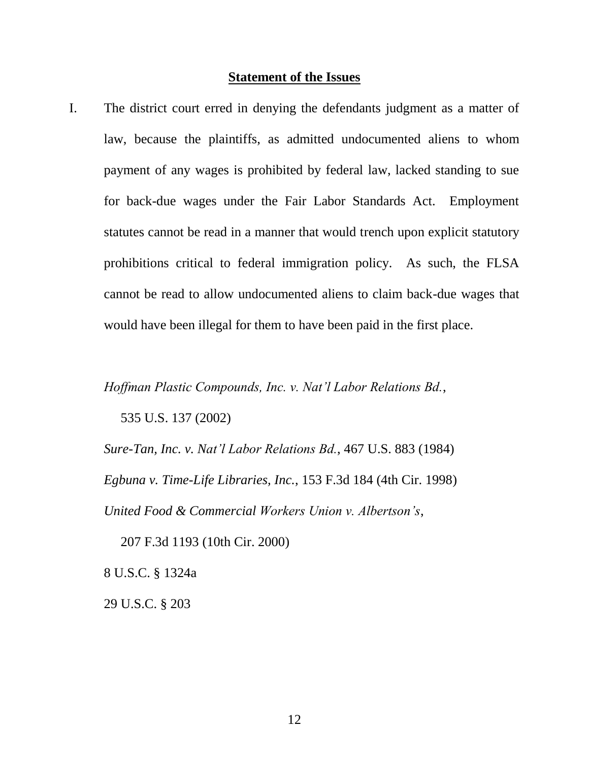#### **Statement of the Issues**

I. The district court erred in denying the defendants judgment as a matter of law, because the plaintiffs, as admitted undocumented aliens to whom payment of any wages is prohibited by federal law, lacked standing to sue for back-due wages under the Fair Labor Standards Act. Employment statutes cannot be read in a manner that would trench upon explicit statutory prohibitions critical to federal immigration policy. As such, the FLSA cannot be read to allow undocumented aliens to claim back-due wages that would have been illegal for them to have been paid in the first place.

*Hoffman Plastic Compounds, Inc. v. Nat'l Labor Relations Bd.*,

535 U.S. 137 (2002)

*Sure-Tan, Inc. v. Nat'l Labor Relations Bd.*, 467 U.S. 883 (1984) *Egbuna v. Time-Life Libraries, Inc.*, 153 F.3d 184 (4th Cir. 1998) *United Food & Commercial Workers Union v. Albertson's*,

207 F.3d 1193 (10th Cir. 2000)

8 U.S.C. § 1324a

29 U.S.C. § 203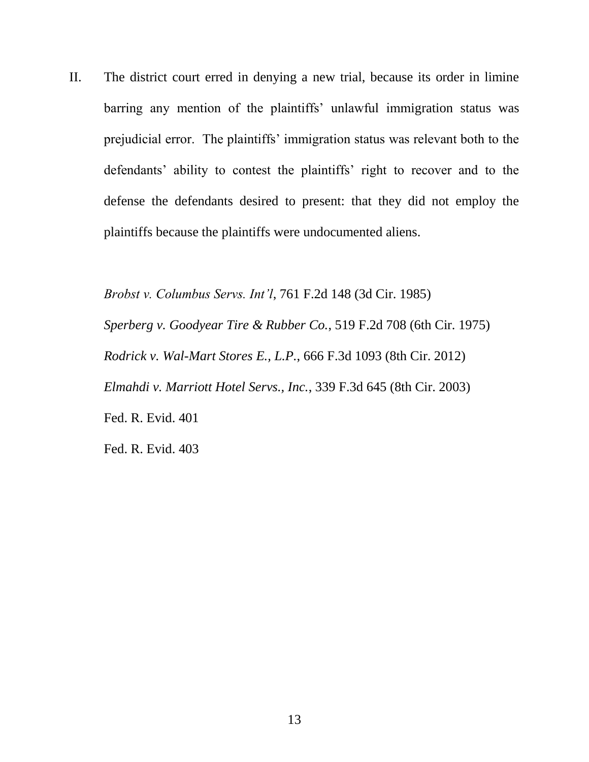II. The district court erred in denying a new trial, because its order in limine barring any mention of the plaintiffs' unlawful immigration status was prejudicial error. The plaintiffs' immigration status was relevant both to the defendants' ability to contest the plaintiffs' right to recover and to the defense the defendants desired to present: that they did not employ the plaintiffs because the plaintiffs were undocumented aliens.

*Brobst v. Columbus Servs. Int'l*, 761 F.2d 148 (3d Cir. 1985) *Sperberg v. Goodyear Tire & Rubber Co.*, 519 F.2d 708 (6th Cir. 1975) *Rodrick v. Wal-Mart Stores E., L.P.*, 666 F.3d 1093 (8th Cir. 2012) *Elmahdi v. Marriott Hotel Servs., Inc.*, 339 F.3d 645 (8th Cir. 2003) Fed. R. Evid. 401 Fed. R. Evid. 403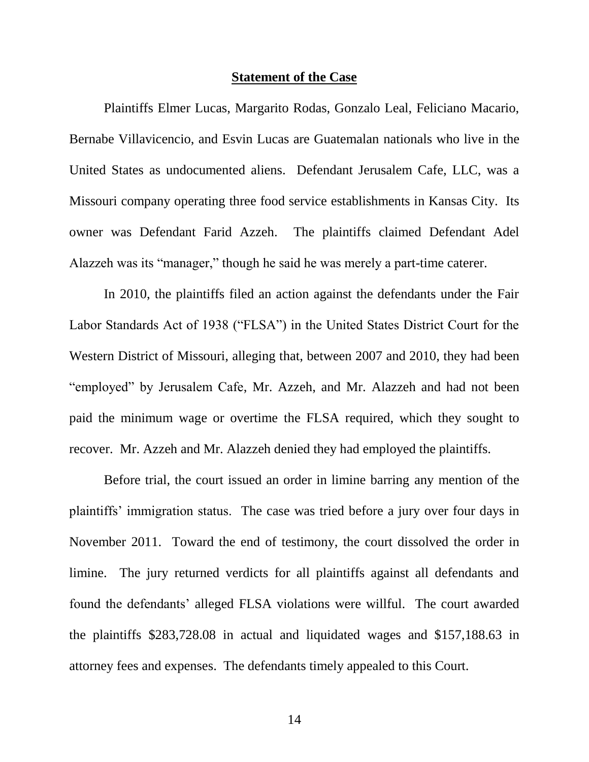#### **Statement of the Case**

Plaintiffs Elmer Lucas, Margarito Rodas, Gonzalo Leal, Feliciano Macario, Bernabe Villavicencio, and Esvin Lucas are Guatemalan nationals who live in the United States as undocumented aliens. Defendant Jerusalem Cafe, LLC, was a Missouri company operating three food service establishments in Kansas City. Its owner was Defendant Farid Azzeh. The plaintiffs claimed Defendant Adel Alazzeh was its "manager," though he said he was merely a part-time caterer.

In 2010, the plaintiffs filed an action against the defendants under the Fair Labor Standards Act of 1938 ("FLSA") in the United States District Court for the Western District of Missouri, alleging that, between 2007 and 2010, they had been "employed" by Jerusalem Cafe, Mr. Azzeh, and Mr. Alazzeh and had not been paid the minimum wage or overtime the FLSA required, which they sought to recover. Mr. Azzeh and Mr. Alazzeh denied they had employed the plaintiffs.

Before trial, the court issued an order in limine barring any mention of the plaintiffs' immigration status. The case was tried before a jury over four days in November 2011. Toward the end of testimony, the court dissolved the order in limine. The jury returned verdicts for all plaintiffs against all defendants and found the defendants' alleged FLSA violations were willful. The court awarded the plaintiffs \$283,728.08 in actual and liquidated wages and \$157,188.63 in attorney fees and expenses. The defendants timely appealed to this Court.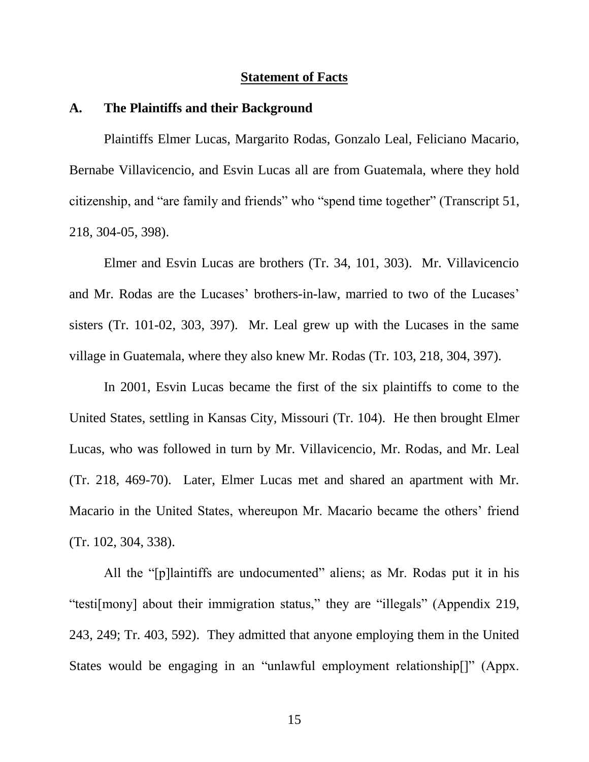#### **Statement of Facts**

#### **A. The Plaintiffs and their Background**

Plaintiffs Elmer Lucas, Margarito Rodas, Gonzalo Leal, Feliciano Macario, Bernabe Villavicencio, and Esvin Lucas all are from Guatemala, where they hold citizenship, and "are family and friends" who "spend time together" (Transcript 51, 218, 304-05, 398).

Elmer and Esvin Lucas are brothers (Tr. 34, 101, 303). Mr. Villavicencio and Mr. Rodas are the Lucases' brothers-in-law, married to two of the Lucases' sisters (Tr. 101-02, 303, 397). Mr. Leal grew up with the Lucases in the same village in Guatemala, where they also knew Mr. Rodas (Tr. 103, 218, 304, 397).

In 2001, Esvin Lucas became the first of the six plaintiffs to come to the United States, settling in Kansas City, Missouri (Tr. 104). He then brought Elmer Lucas, who was followed in turn by Mr. Villavicencio, Mr. Rodas, and Mr. Leal (Tr. 218, 469-70). Later, Elmer Lucas met and shared an apartment with Mr. Macario in the United States, whereupon Mr. Macario became the others' friend (Tr. 102, 304, 338).

All the "[p]laintiffs are undocumented" aliens; as Mr. Rodas put it in his "testi[mony] about their immigration status," they are "illegals" (Appendix 219, 243, 249; Tr. 403, 592). They admitted that anyone employing them in the United States would be engaging in an "unlawful employment relationship[]" (Appx.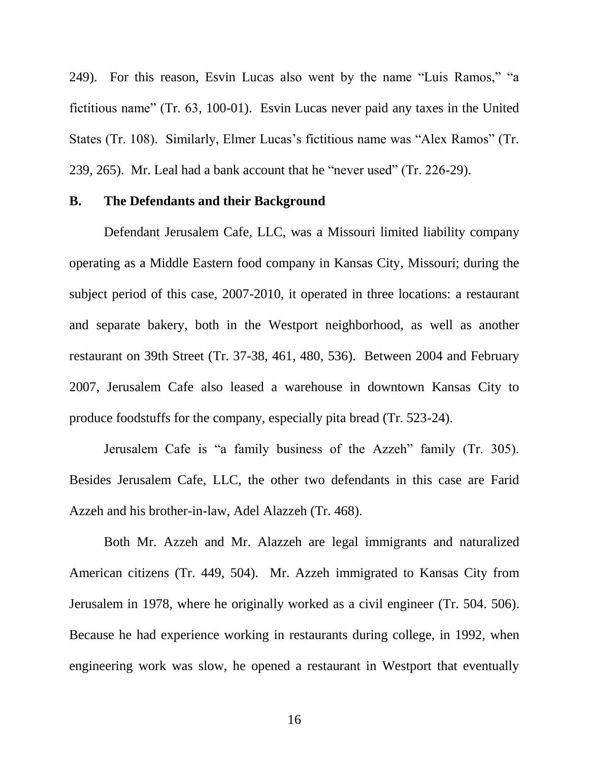249). For this reason, Esvin Lucas also went by the name "Luis Ramos," "a fictitious name" (Tr. 63, 100-01). Esvin Lucas never paid any taxes in the United States (Tr. 108). Similarly, Elmer Lucas's fictitious name was "Alex Ramos" (Tr. 239, 265). Mr. Leal had a bank account that he "never used" (Tr. 226-29).

#### **B. The Defendants and their Background**

Defendant Jerusalem Cafe, LLC, was a Missouri limited liability company operating as a Middle Eastern food company in Kansas City, Missouri; during the subject period of this case, 2007-2010, it operated in three locations: a restaurant and separate bakery, both in the Westport neighborhood, as well as another restaurant on 39th Street (Tr. 37-38, 461, 480, 536). Between 2004 and February 2007, Jerusalem Cafe also leased a warehouse in downtown Kansas City to produce foodstuffs for the company, especially pita bread (Tr. 523-24).

Jerusalem Cafe is "a family business of the Azzeh" family (Tr. 305). Besides Jerusalem Cafe, LLC, the other two defendants in this case are Farid Azzeh and his brother-in-law, Adel Alazzeh (Tr. 468).

Both Mr. Azzeh and Mr. Alazzeh are legal immigrants and naturalized American citizens (Tr. 449, 504). Mr. Azzeh immigrated to Kansas City from Jerusalem in 1978, where he originally worked as a civil engineer (Tr. 504. 506). Because he had experience working in restaurants during college, in 1992, when engineering work was slow, he opened a restaurant in Westport that eventually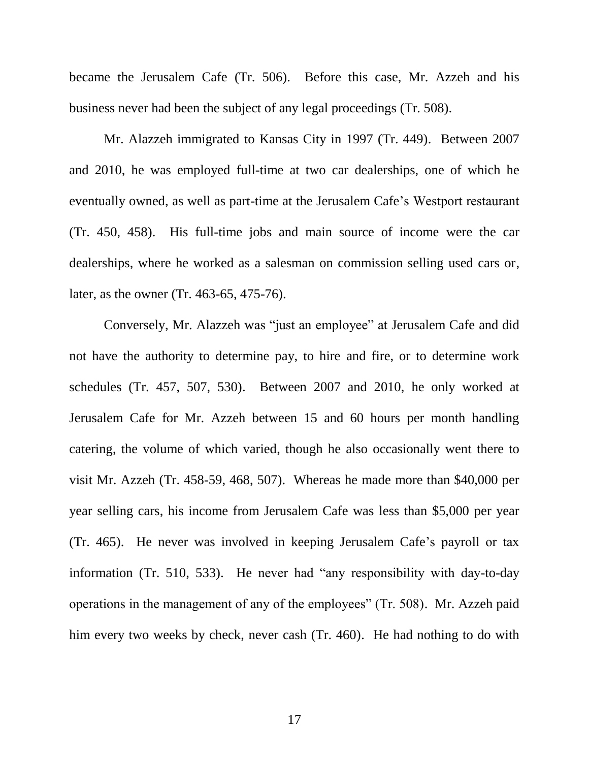became the Jerusalem Cafe (Tr. 506). Before this case, Mr. Azzeh and his business never had been the subject of any legal proceedings (Tr. 508).

Mr. Alazzeh immigrated to Kansas City in 1997 (Tr. 449). Between 2007 and 2010, he was employed full-time at two car dealerships, one of which he eventually owned, as well as part-time at the Jerusalem Cafe's Westport restaurant (Tr. 450, 458). His full-time jobs and main source of income were the car dealerships, where he worked as a salesman on commission selling used cars or, later, as the owner (Tr. 463-65, 475-76).

Conversely, Mr. Alazzeh was "just an employee" at Jerusalem Cafe and did not have the authority to determine pay, to hire and fire, or to determine work schedules (Tr. 457, 507, 530). Between 2007 and 2010, he only worked at Jerusalem Cafe for Mr. Azzeh between 15 and 60 hours per month handling catering, the volume of which varied, though he also occasionally went there to visit Mr. Azzeh (Tr. 458-59, 468, 507). Whereas he made more than \$40,000 per year selling cars, his income from Jerusalem Cafe was less than \$5,000 per year (Tr. 465). He never was involved in keeping Jerusalem Cafe's payroll or tax information (Tr. 510, 533). He never had "any responsibility with day-to-day operations in the management of any of the employees" (Tr. 508). Mr. Azzeh paid him every two weeks by check, never cash (Tr. 460). He had nothing to do with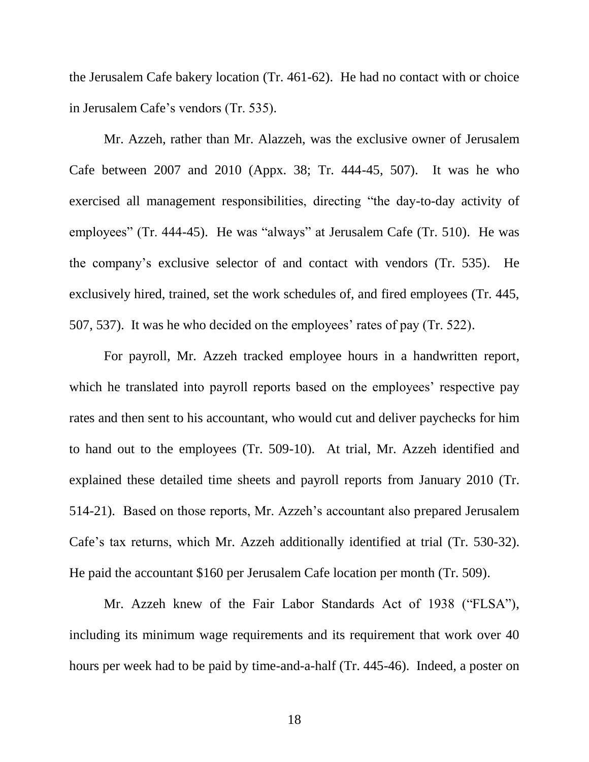the Jerusalem Cafe bakery location (Tr. 461-62). He had no contact with or choice in Jerusalem Cafe's vendors (Tr. 535).

Mr. Azzeh, rather than Mr. Alazzeh, was the exclusive owner of Jerusalem Cafe between 2007 and 2010 (Appx. 38; Tr. 444-45, 507). It was he who exercised all management responsibilities, directing "the day-to-day activity of employees" (Tr. 444-45). He was "always" at Jerusalem Cafe (Tr. 510). He was the company's exclusive selector of and contact with vendors (Tr. 535). He exclusively hired, trained, set the work schedules of, and fired employees (Tr. 445, 507, 537). It was he who decided on the employees' rates of pay (Tr. 522).

For payroll, Mr. Azzeh tracked employee hours in a handwritten report, which he translated into payroll reports based on the employees' respective pay rates and then sent to his accountant, who would cut and deliver paychecks for him to hand out to the employees (Tr. 509-10). At trial, Mr. Azzeh identified and explained these detailed time sheets and payroll reports from January 2010 (Tr. 514-21). Based on those reports, Mr. Azzeh's accountant also prepared Jerusalem Cafe's tax returns, which Mr. Azzeh additionally identified at trial (Tr. 530-32). He paid the accountant \$160 per Jerusalem Cafe location per month (Tr. 509).

Mr. Azzeh knew of the Fair Labor Standards Act of 1938 ("FLSA"), including its minimum wage requirements and its requirement that work over 40 hours per week had to be paid by time-and-a-half (Tr. 445-46). Indeed, a poster on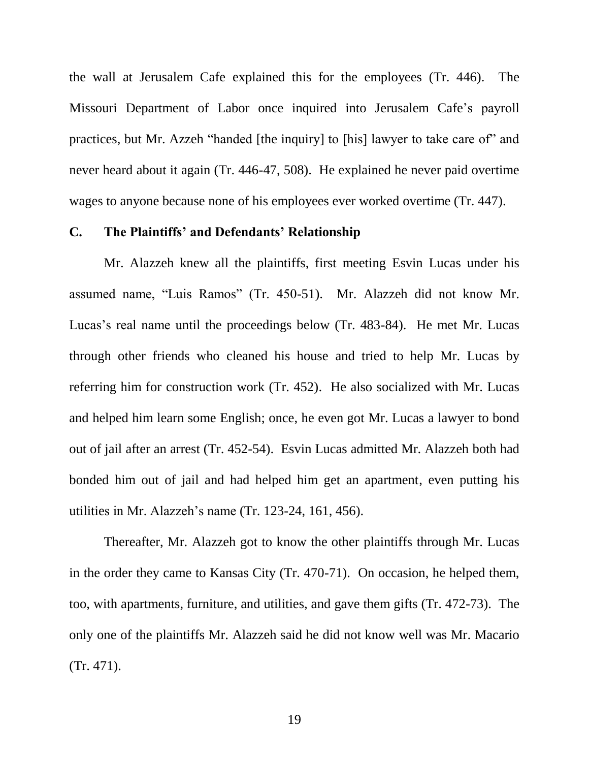the wall at Jerusalem Cafe explained this for the employees (Tr. 446). The Missouri Department of Labor once inquired into Jerusalem Cafe's payroll practices, but Mr. Azzeh "handed [the inquiry] to [his] lawyer to take care of" and never heard about it again (Tr. 446-47, 508). He explained he never paid overtime wages to anyone because none of his employees ever worked overtime (Tr. 447).

#### **C. The Plaintiffs' and Defendants' Relationship**

Mr. Alazzeh knew all the plaintiffs, first meeting Esvin Lucas under his assumed name, "Luis Ramos" (Tr. 450-51). Mr. Alazzeh did not know Mr. Lucas's real name until the proceedings below (Tr. 483-84). He met Mr. Lucas through other friends who cleaned his house and tried to help Mr. Lucas by referring him for construction work (Tr. 452). He also socialized with Mr. Lucas and helped him learn some English; once, he even got Mr. Lucas a lawyer to bond out of jail after an arrest (Tr. 452-54). Esvin Lucas admitted Mr. Alazzeh both had bonded him out of jail and had helped him get an apartment, even putting his utilities in Mr. Alazzeh's name (Tr. 123-24, 161, 456).

Thereafter, Mr. Alazzeh got to know the other plaintiffs through Mr. Lucas in the order they came to Kansas City (Tr. 470-71). On occasion, he helped them, too, with apartments, furniture, and utilities, and gave them gifts (Tr. 472-73). The only one of the plaintiffs Mr. Alazzeh said he did not know well was Mr. Macario (Tr. 471).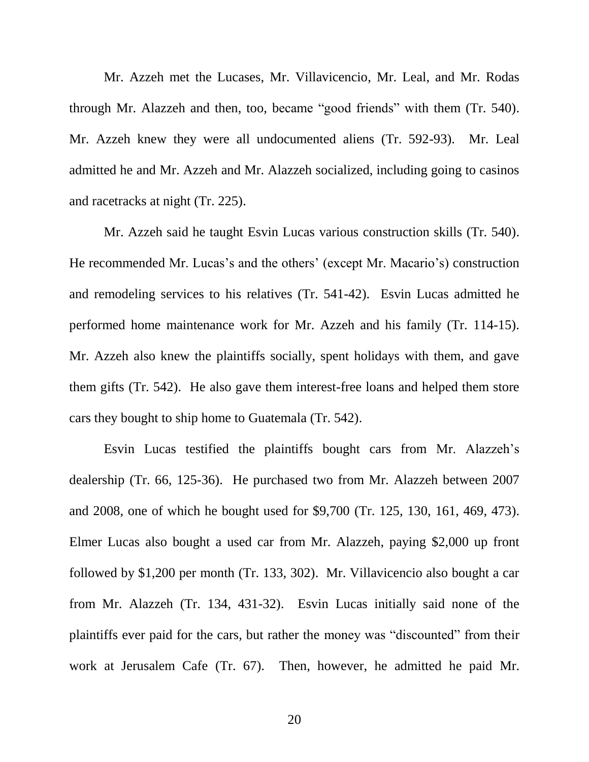Mr. Azzeh met the Lucases, Mr. Villavicencio, Mr. Leal, and Mr. Rodas through Mr. Alazzeh and then, too, became "good friends" with them (Tr. 540). Mr. Azzeh knew they were all undocumented aliens (Tr. 592-93). Mr. Leal admitted he and Mr. Azzeh and Mr. Alazzeh socialized, including going to casinos and racetracks at night (Tr. 225).

Mr. Azzeh said he taught Esvin Lucas various construction skills (Tr. 540). He recommended Mr. Lucas's and the others' (except Mr. Macario's) construction and remodeling services to his relatives (Tr. 541-42). Esvin Lucas admitted he performed home maintenance work for Mr. Azzeh and his family (Tr. 114-15). Mr. Azzeh also knew the plaintiffs socially, spent holidays with them, and gave them gifts (Tr. 542). He also gave them interest-free loans and helped them store cars they bought to ship home to Guatemala (Tr. 542).

Esvin Lucas testified the plaintiffs bought cars from Mr. Alazzeh's dealership (Tr. 66, 125-36). He purchased two from Mr. Alazzeh between 2007 and 2008, one of which he bought used for \$9,700 (Tr. 125, 130, 161, 469, 473). Elmer Lucas also bought a used car from Mr. Alazzeh, paying \$2,000 up front followed by \$1,200 per month (Tr. 133, 302). Mr. Villavicencio also bought a car from Mr. Alazzeh (Tr. 134, 431-32). Esvin Lucas initially said none of the plaintiffs ever paid for the cars, but rather the money was "discounted" from their work at Jerusalem Cafe (Tr. 67). Then, however, he admitted he paid Mr.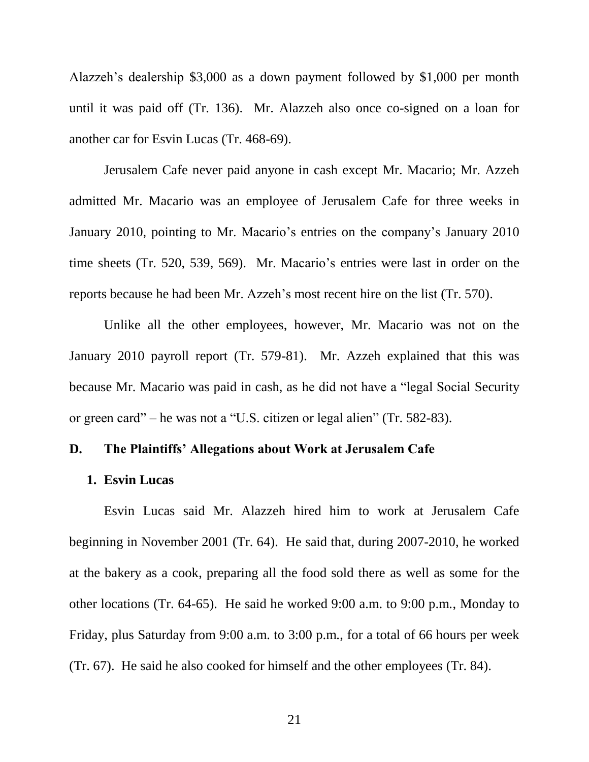Alazzeh's dealership \$3,000 as a down payment followed by \$1,000 per month until it was paid off (Tr. 136). Mr. Alazzeh also once co-signed on a loan for another car for Esvin Lucas (Tr. 468-69).

Jerusalem Cafe never paid anyone in cash except Mr. Macario; Mr. Azzeh admitted Mr. Macario was an employee of Jerusalem Cafe for three weeks in January 2010, pointing to Mr. Macario's entries on the company's January 2010 time sheets (Tr. 520, 539, 569). Mr. Macario's entries were last in order on the reports because he had been Mr. Azzeh's most recent hire on the list (Tr. 570).

Unlike all the other employees, however, Mr. Macario was not on the January 2010 payroll report (Tr. 579-81). Mr. Azzeh explained that this was because Mr. Macario was paid in cash, as he did not have a "legal Social Security or green card" – he was not a "U.S. citizen or legal alien" (Tr. 582-83).

## **D. The Plaintiffs' Allegations about Work at Jerusalem Cafe**

#### **1. Esvin Lucas**

Esvin Lucas said Mr. Alazzeh hired him to work at Jerusalem Cafe beginning in November 2001 (Tr. 64). He said that, during 2007-2010, he worked at the bakery as a cook, preparing all the food sold there as well as some for the other locations (Tr. 64-65). He said he worked 9:00 a.m. to 9:00 p.m., Monday to Friday, plus Saturday from 9:00 a.m. to 3:00 p.m., for a total of 66 hours per week (Tr. 67). He said he also cooked for himself and the other employees (Tr. 84).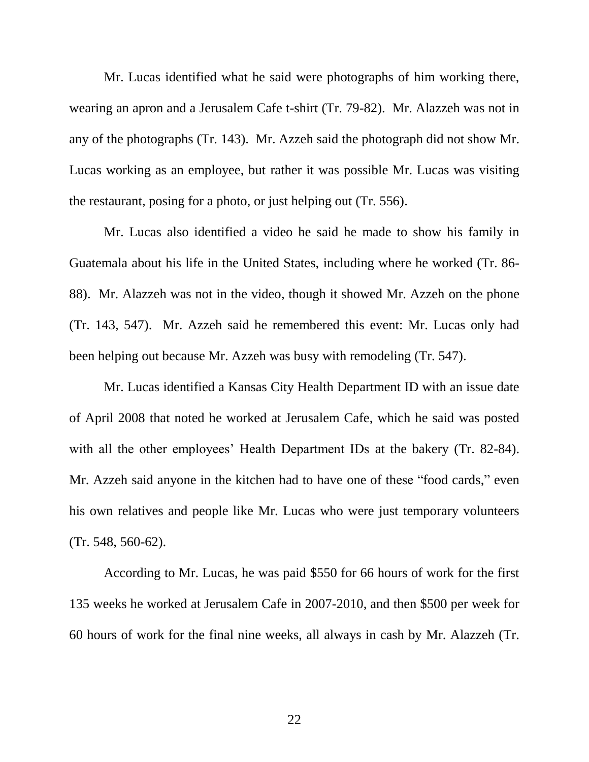Mr. Lucas identified what he said were photographs of him working there, wearing an apron and a Jerusalem Cafe t-shirt (Tr. 79-82). Mr. Alazzeh was not in any of the photographs (Tr. 143). Mr. Azzeh said the photograph did not show Mr. Lucas working as an employee, but rather it was possible Mr. Lucas was visiting the restaurant, posing for a photo, or just helping out (Tr. 556).

Mr. Lucas also identified a video he said he made to show his family in Guatemala about his life in the United States, including where he worked (Tr. 86- 88). Mr. Alazzeh was not in the video, though it showed Mr. Azzeh on the phone (Tr. 143, 547). Mr. Azzeh said he remembered this event: Mr. Lucas only had been helping out because Mr. Azzeh was busy with remodeling (Tr. 547).

Mr. Lucas identified a Kansas City Health Department ID with an issue date of April 2008 that noted he worked at Jerusalem Cafe, which he said was posted with all the other employees' Health Department IDs at the bakery (Tr. 82-84). Mr. Azzeh said anyone in the kitchen had to have one of these "food cards," even his own relatives and people like Mr. Lucas who were just temporary volunteers (Tr. 548, 560-62).

According to Mr. Lucas, he was paid \$550 for 66 hours of work for the first 135 weeks he worked at Jerusalem Cafe in 2007-2010, and then \$500 per week for 60 hours of work for the final nine weeks, all always in cash by Mr. Alazzeh (Tr.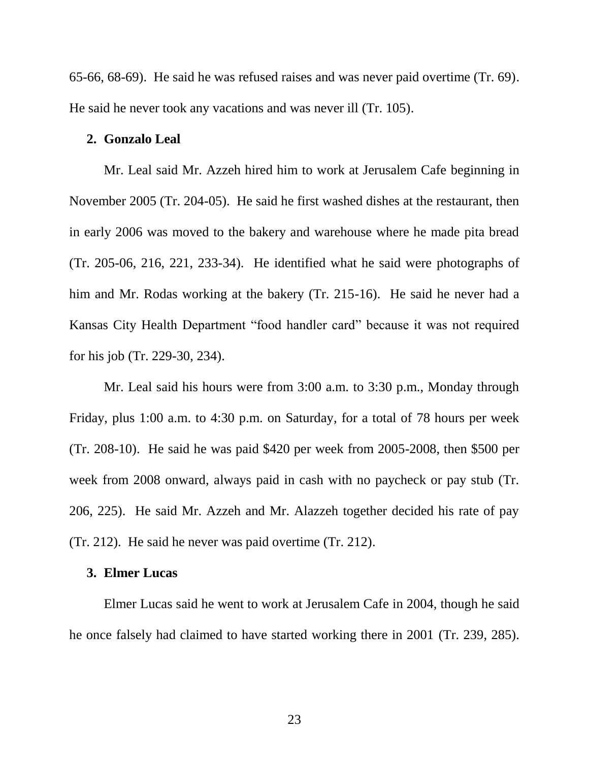65-66, 68-69). He said he was refused raises and was never paid overtime (Tr. 69). He said he never took any vacations and was never ill (Tr. 105).

#### **2. Gonzalo Leal**

Mr. Leal said Mr. Azzeh hired him to work at Jerusalem Cafe beginning in November 2005 (Tr. 204-05). He said he first washed dishes at the restaurant, then in early 2006 was moved to the bakery and warehouse where he made pita bread (Tr. 205-06, 216, 221, 233-34). He identified what he said were photographs of him and Mr. Rodas working at the bakery (Tr. 215-16). He said he never had a Kansas City Health Department "food handler card" because it was not required for his job (Tr. 229-30, 234).

Mr. Leal said his hours were from 3:00 a.m. to 3:30 p.m., Monday through Friday, plus 1:00 a.m. to 4:30 p.m. on Saturday, for a total of 78 hours per week (Tr. 208-10). He said he was paid \$420 per week from 2005-2008, then \$500 per week from 2008 onward, always paid in cash with no paycheck or pay stub (Tr. 206, 225). He said Mr. Azzeh and Mr. Alazzeh together decided his rate of pay (Tr. 212). He said he never was paid overtime (Tr. 212).

#### **3. Elmer Lucas**

Elmer Lucas said he went to work at Jerusalem Cafe in 2004, though he said he once falsely had claimed to have started working there in 2001 (Tr. 239, 285).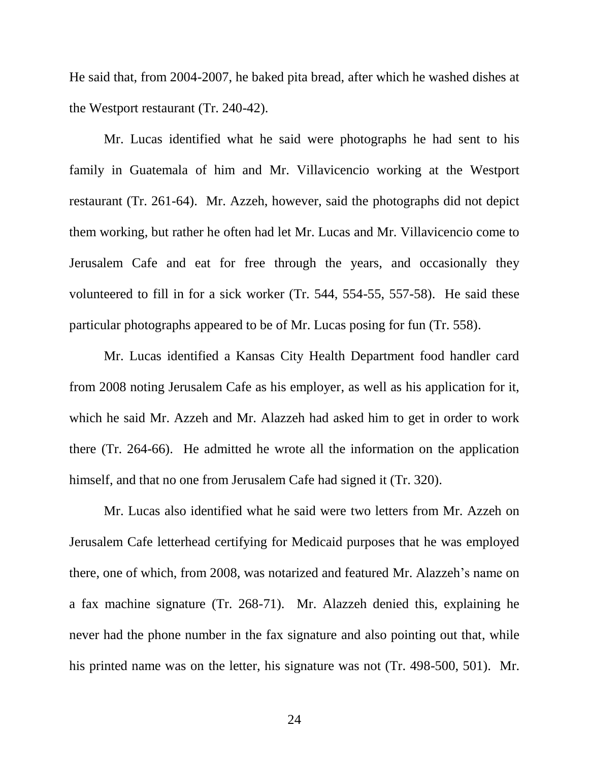He said that, from 2004-2007, he baked pita bread, after which he washed dishes at the Westport restaurant (Tr. 240-42).

Mr. Lucas identified what he said were photographs he had sent to his family in Guatemala of him and Mr. Villavicencio working at the Westport restaurant (Tr. 261-64). Mr. Azzeh, however, said the photographs did not depict them working, but rather he often had let Mr. Lucas and Mr. Villavicencio come to Jerusalem Cafe and eat for free through the years, and occasionally they volunteered to fill in for a sick worker (Tr. 544, 554-55, 557-58). He said these particular photographs appeared to be of Mr. Lucas posing for fun (Tr. 558).

Mr. Lucas identified a Kansas City Health Department food handler card from 2008 noting Jerusalem Cafe as his employer, as well as his application for it, which he said Mr. Azzeh and Mr. Alazzeh had asked him to get in order to work there (Tr. 264-66). He admitted he wrote all the information on the application himself, and that no one from Jerusalem Cafe had signed it (Tr. 320).

Mr. Lucas also identified what he said were two letters from Mr. Azzeh on Jerusalem Cafe letterhead certifying for Medicaid purposes that he was employed there, one of which, from 2008, was notarized and featured Mr. Alazzeh's name on a fax machine signature (Tr. 268-71). Mr. Alazzeh denied this, explaining he never had the phone number in the fax signature and also pointing out that, while his printed name was on the letter, his signature was not (Tr. 498-500, 501). Mr.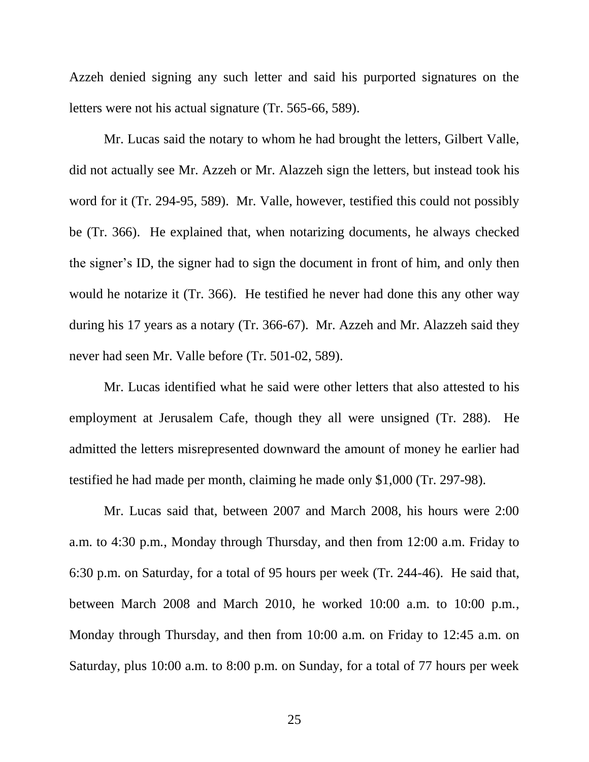Azzeh denied signing any such letter and said his purported signatures on the letters were not his actual signature (Tr. 565-66, 589).

Mr. Lucas said the notary to whom he had brought the letters, Gilbert Valle, did not actually see Mr. Azzeh or Mr. Alazzeh sign the letters, but instead took his word for it (Tr. 294-95, 589). Mr. Valle, however, testified this could not possibly be (Tr. 366). He explained that, when notarizing documents, he always checked the signer's ID, the signer had to sign the document in front of him, and only then would he notarize it (Tr. 366). He testified he never had done this any other way during his 17 years as a notary (Tr. 366-67). Mr. Azzeh and Mr. Alazzeh said they never had seen Mr. Valle before (Tr. 501-02, 589).

Mr. Lucas identified what he said were other letters that also attested to his employment at Jerusalem Cafe, though they all were unsigned (Tr. 288). He admitted the letters misrepresented downward the amount of money he earlier had testified he had made per month, claiming he made only \$1,000 (Tr. 297-98).

Mr. Lucas said that, between 2007 and March 2008, his hours were 2:00 a.m. to 4:30 p.m., Monday through Thursday, and then from 12:00 a.m. Friday to 6:30 p.m. on Saturday, for a total of 95 hours per week (Tr. 244-46). He said that, between March 2008 and March 2010, he worked 10:00 a.m. to 10:00 p.m., Monday through Thursday, and then from 10:00 a.m. on Friday to 12:45 a.m. on Saturday, plus 10:00 a.m. to 8:00 p.m. on Sunday, for a total of 77 hours per week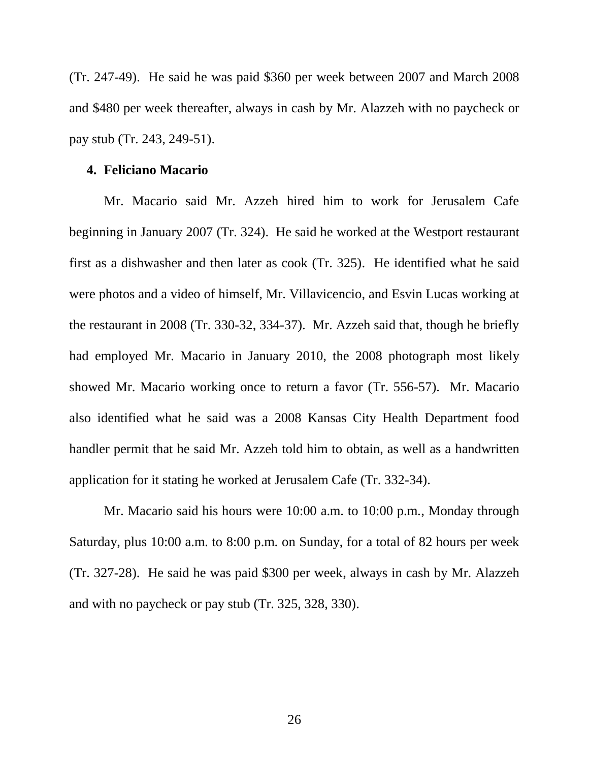(Tr. 247-49). He said he was paid \$360 per week between 2007 and March 2008 and \$480 per week thereafter, always in cash by Mr. Alazzeh with no paycheck or pay stub (Tr. 243, 249-51).

#### **4. Feliciano Macario**

Mr. Macario said Mr. Azzeh hired him to work for Jerusalem Cafe beginning in January 2007 (Tr. 324). He said he worked at the Westport restaurant first as a dishwasher and then later as cook (Tr. 325). He identified what he said were photos and a video of himself, Mr. Villavicencio, and Esvin Lucas working at the restaurant in 2008 (Tr. 330-32, 334-37). Mr. Azzeh said that, though he briefly had employed Mr. Macario in January 2010, the 2008 photograph most likely showed Mr. Macario working once to return a favor (Tr. 556-57). Mr. Macario also identified what he said was a 2008 Kansas City Health Department food handler permit that he said Mr. Azzeh told him to obtain, as well as a handwritten application for it stating he worked at Jerusalem Cafe (Tr. 332-34).

Mr. Macario said his hours were 10:00 a.m. to 10:00 p.m., Monday through Saturday, plus 10:00 a.m. to 8:00 p.m. on Sunday, for a total of 82 hours per week (Tr. 327-28). He said he was paid \$300 per week, always in cash by Mr. Alazzeh and with no paycheck or pay stub (Tr. 325, 328, 330).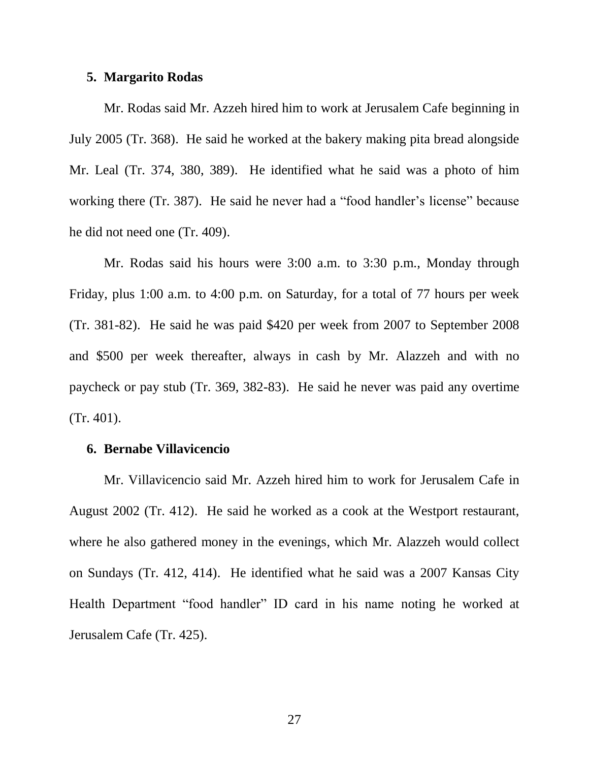#### **5. Margarito Rodas**

Mr. Rodas said Mr. Azzeh hired him to work at Jerusalem Cafe beginning in July 2005 (Tr. 368). He said he worked at the bakery making pita bread alongside Mr. Leal (Tr. 374, 380, 389). He identified what he said was a photo of him working there (Tr. 387). He said he never had a "food handler's license" because he did not need one (Tr. 409).

Mr. Rodas said his hours were 3:00 a.m. to 3:30 p.m., Monday through Friday, plus 1:00 a.m. to 4:00 p.m. on Saturday, for a total of 77 hours per week (Tr. 381-82). He said he was paid \$420 per week from 2007 to September 2008 and \$500 per week thereafter, always in cash by Mr. Alazzeh and with no paycheck or pay stub (Tr. 369, 382-83). He said he never was paid any overtime (Tr. 401).

#### **6. Bernabe Villavicencio**

Mr. Villavicencio said Mr. Azzeh hired him to work for Jerusalem Cafe in August 2002 (Tr. 412). He said he worked as a cook at the Westport restaurant, where he also gathered money in the evenings, which Mr. Alazzeh would collect on Sundays (Tr. 412, 414). He identified what he said was a 2007 Kansas City Health Department "food handler" ID card in his name noting he worked at Jerusalem Cafe (Tr. 425).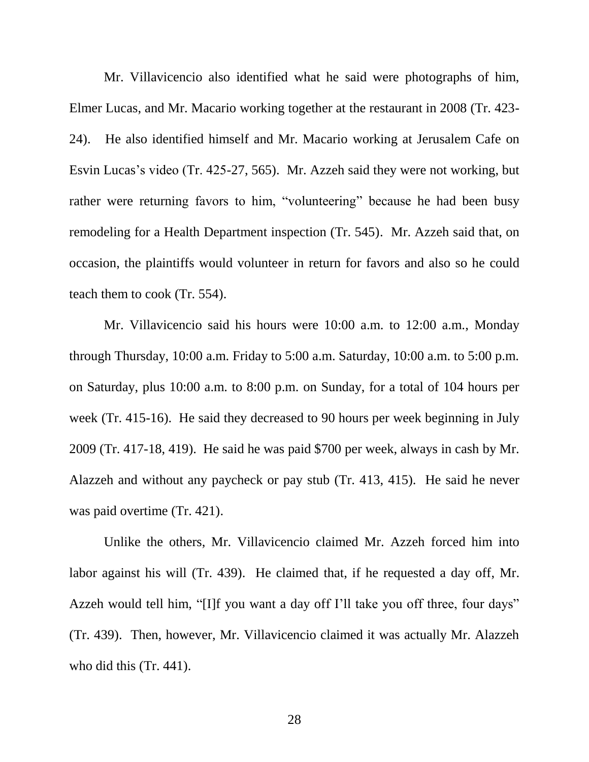Mr. Villavicencio also identified what he said were photographs of him, Elmer Lucas, and Mr. Macario working together at the restaurant in 2008 (Tr. 423- 24). He also identified himself and Mr. Macario working at Jerusalem Cafe on Esvin Lucas's video (Tr. 425-27, 565). Mr. Azzeh said they were not working, but rather were returning favors to him, "volunteering" because he had been busy remodeling for a Health Department inspection (Tr. 545). Mr. Azzeh said that, on occasion, the plaintiffs would volunteer in return for favors and also so he could teach them to cook (Tr. 554).

Mr. Villavicencio said his hours were 10:00 a.m. to 12:00 a.m., Monday through Thursday, 10:00 a.m. Friday to 5:00 a.m. Saturday, 10:00 a.m. to 5:00 p.m. on Saturday, plus 10:00 a.m. to 8:00 p.m. on Sunday, for a total of 104 hours per week (Tr. 415-16). He said they decreased to 90 hours per week beginning in July 2009 (Tr. 417-18, 419). He said he was paid \$700 per week, always in cash by Mr. Alazzeh and without any paycheck or pay stub (Tr. 413, 415). He said he never was paid overtime (Tr. 421).

Unlike the others, Mr. Villavicencio claimed Mr. Azzeh forced him into labor against his will (Tr. 439). He claimed that, if he requested a day off, Mr. Azzeh would tell him, "[I]f you want a day off I'll take you off three, four days" (Tr. 439). Then, however, Mr. Villavicencio claimed it was actually Mr. Alazzeh who did this (Tr. 441).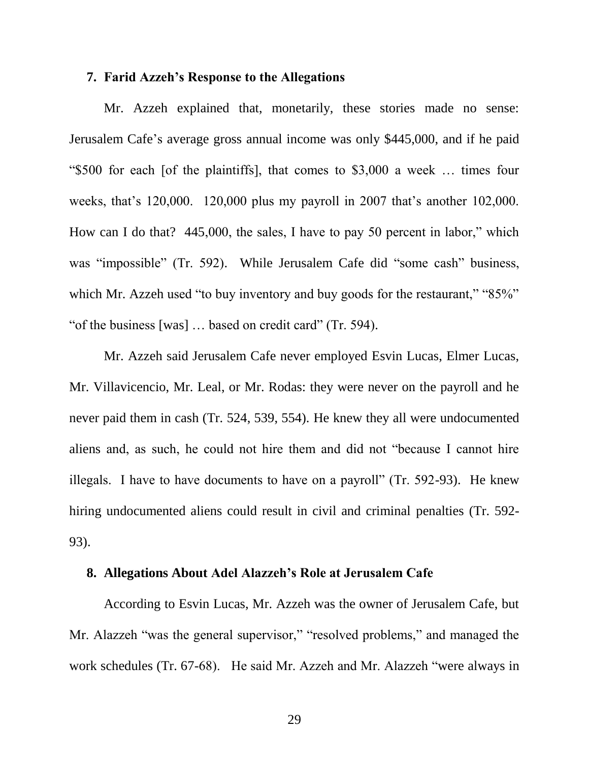#### **7. Farid Azzeh's Response to the Allegations**

Mr. Azzeh explained that, monetarily, these stories made no sense: Jerusalem Cafe's average gross annual income was only \$445,000, and if he paid "\$500 for each [of the plaintiffs], that comes to \$3,000 a week … times four weeks, that's 120,000. 120,000 plus my payroll in 2007 that's another 102,000. How can I do that? 445,000, the sales, I have to pay 50 percent in labor," which was "impossible" (Tr. 592). While Jerusalem Cafe did "some cash" business, which Mr. Azzeh used "to buy inventory and buy goods for the restaurant," "85%" "of the business [was] … based on credit card" (Tr. 594).

Mr. Azzeh said Jerusalem Cafe never employed Esvin Lucas, Elmer Lucas, Mr. Villavicencio, Mr. Leal, or Mr. Rodas: they were never on the payroll and he never paid them in cash (Tr. 524, 539, 554). He knew they all were undocumented aliens and, as such, he could not hire them and did not "because I cannot hire illegals. I have to have documents to have on a payroll" (Tr. 592-93). He knew hiring undocumented aliens could result in civil and criminal penalties (Tr. 592- 93).

#### **8. Allegations About Adel Alazzeh's Role at Jerusalem Cafe**

According to Esvin Lucas, Mr. Azzeh was the owner of Jerusalem Cafe, but Mr. Alazzeh "was the general supervisor," "resolved problems," and managed the work schedules (Tr. 67-68). He said Mr. Azzeh and Mr. Alazzeh "were always in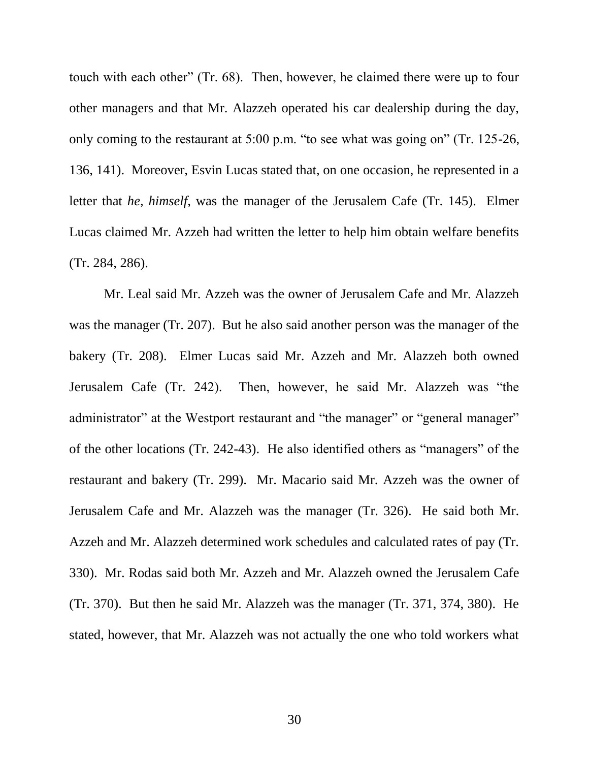touch with each other" (Tr. 68). Then, however, he claimed there were up to four other managers and that Mr. Alazzeh operated his car dealership during the day, only coming to the restaurant at 5:00 p.m. "to see what was going on" (Tr. 125-26, 136, 141). Moreover, Esvin Lucas stated that, on one occasion, he represented in a letter that *he, himself*, was the manager of the Jerusalem Cafe (Tr. 145). Elmer Lucas claimed Mr. Azzeh had written the letter to help him obtain welfare benefits (Tr. 284, 286).

Mr. Leal said Mr. Azzeh was the owner of Jerusalem Cafe and Mr. Alazzeh was the manager (Tr. 207). But he also said another person was the manager of the bakery (Tr. 208). Elmer Lucas said Mr. Azzeh and Mr. Alazzeh both owned Jerusalem Cafe (Tr. 242). Then, however, he said Mr. Alazzeh was "the administrator" at the Westport restaurant and "the manager" or "general manager" of the other locations (Tr. 242-43). He also identified others as "managers" of the restaurant and bakery (Tr. 299). Mr. Macario said Mr. Azzeh was the owner of Jerusalem Cafe and Mr. Alazzeh was the manager (Tr. 326). He said both Mr. Azzeh and Mr. Alazzeh determined work schedules and calculated rates of pay (Tr. 330). Mr. Rodas said both Mr. Azzeh and Mr. Alazzeh owned the Jerusalem Cafe (Tr. 370). But then he said Mr. Alazzeh was the manager (Tr. 371, 374, 380). He stated, however, that Mr. Alazzeh was not actually the one who told workers what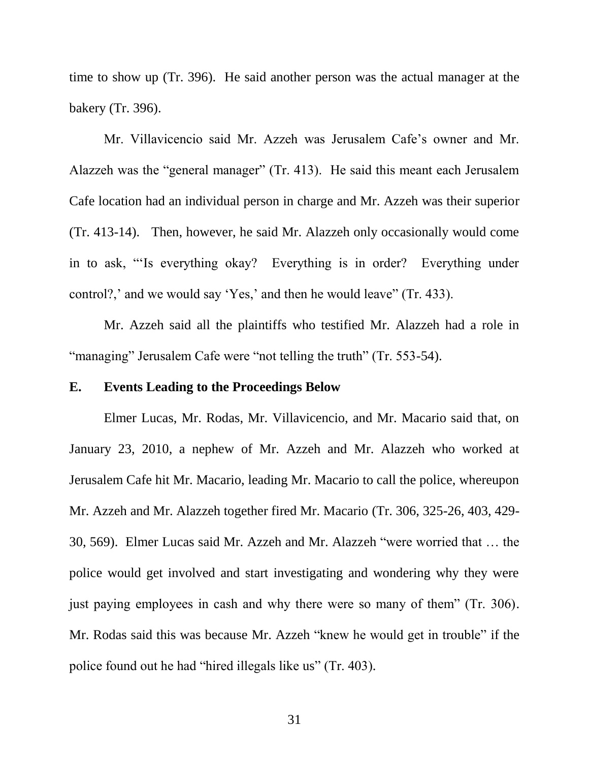time to show up (Tr. 396). He said another person was the actual manager at the bakery (Tr. 396).

Mr. Villavicencio said Mr. Azzeh was Jerusalem Cafe's owner and Mr. Alazzeh was the "general manager" (Tr. 413). He said this meant each Jerusalem Cafe location had an individual person in charge and Mr. Azzeh was their superior (Tr. 413-14). Then, however, he said Mr. Alazzeh only occasionally would come in to ask, "'Is everything okay? Everything is in order? Everything under control?,' and we would say 'Yes,' and then he would leave" (Tr. 433).

Mr. Azzeh said all the plaintiffs who testified Mr. Alazzeh had a role in "managing" Jerusalem Cafe were "not telling the truth" (Tr. 553-54).

#### **E. Events Leading to the Proceedings Below**

Elmer Lucas, Mr. Rodas, Mr. Villavicencio, and Mr. Macario said that, on January 23, 2010, a nephew of Mr. Azzeh and Mr. Alazzeh who worked at Jerusalem Cafe hit Mr. Macario, leading Mr. Macario to call the police, whereupon Mr. Azzeh and Mr. Alazzeh together fired Mr. Macario (Tr. 306, 325-26, 403, 429- 30, 569). Elmer Lucas said Mr. Azzeh and Mr. Alazzeh "were worried that … the police would get involved and start investigating and wondering why they were just paying employees in cash and why there were so many of them" (Tr. 306). Mr. Rodas said this was because Mr. Azzeh "knew he would get in trouble" if the police found out he had "hired illegals like us" (Tr. 403).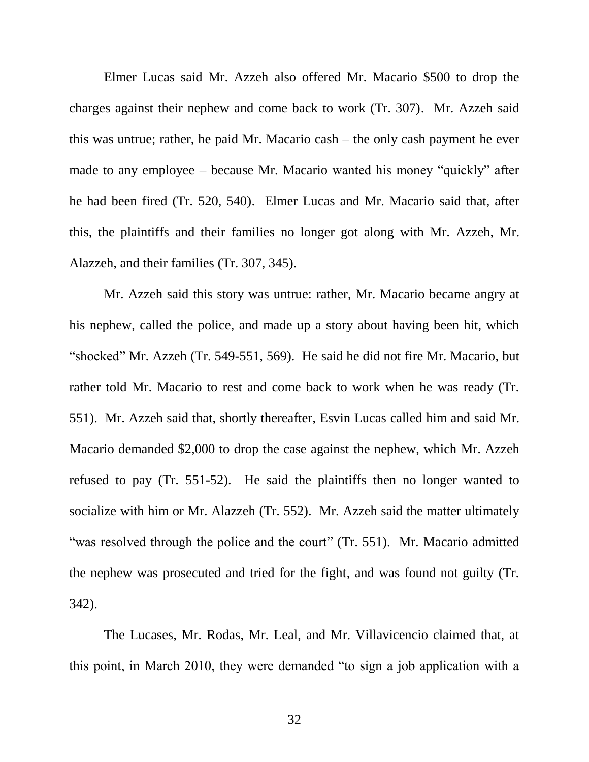Elmer Lucas said Mr. Azzeh also offered Mr. Macario \$500 to drop the charges against their nephew and come back to work (Tr. 307). Mr. Azzeh said this was untrue; rather, he paid Mr. Macario cash – the only cash payment he ever made to any employee – because Mr. Macario wanted his money "quickly" after he had been fired (Tr. 520, 540). Elmer Lucas and Mr. Macario said that, after this, the plaintiffs and their families no longer got along with Mr. Azzeh, Mr. Alazzeh, and their families (Tr. 307, 345).

Mr. Azzeh said this story was untrue: rather, Mr. Macario became angry at his nephew, called the police, and made up a story about having been hit, which "shocked" Mr. Azzeh (Tr. 549-551, 569). He said he did not fire Mr. Macario, but rather told Mr. Macario to rest and come back to work when he was ready (Tr. 551). Mr. Azzeh said that, shortly thereafter, Esvin Lucas called him and said Mr. Macario demanded \$2,000 to drop the case against the nephew, which Mr. Azzeh refused to pay (Tr. 551-52). He said the plaintiffs then no longer wanted to socialize with him or Mr. Alazzeh (Tr. 552). Mr. Azzeh said the matter ultimately "was resolved through the police and the court" (Tr. 551). Mr. Macario admitted the nephew was prosecuted and tried for the fight, and was found not guilty (Tr. 342).

The Lucases, Mr. Rodas, Mr. Leal, and Mr. Villavicencio claimed that, at this point, in March 2010, they were demanded "to sign a job application with a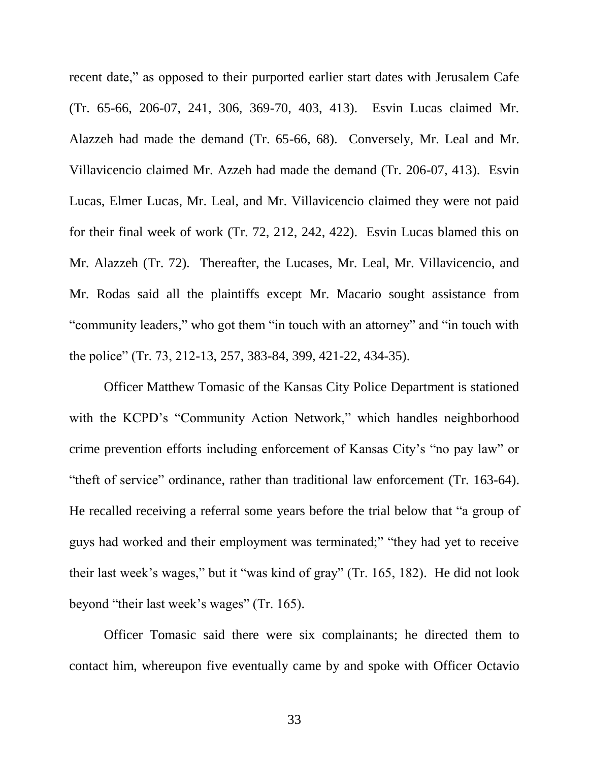recent date," as opposed to their purported earlier start dates with Jerusalem Cafe (Tr. 65-66, 206-07, 241, 306, 369-70, 403, 413). Esvin Lucas claimed Mr. Alazzeh had made the demand (Tr. 65-66, 68). Conversely, Mr. Leal and Mr. Villavicencio claimed Mr. Azzeh had made the demand (Tr. 206-07, 413). Esvin Lucas, Elmer Lucas, Mr. Leal, and Mr. Villavicencio claimed they were not paid for their final week of work (Tr. 72, 212, 242, 422). Esvin Lucas blamed this on Mr. Alazzeh (Tr. 72). Thereafter, the Lucases, Mr. Leal, Mr. Villavicencio, and Mr. Rodas said all the plaintiffs except Mr. Macario sought assistance from "community leaders," who got them "in touch with an attorney" and "in touch with the police" (Tr. 73, 212-13, 257, 383-84, 399, 421-22, 434-35).

Officer Matthew Tomasic of the Kansas City Police Department is stationed with the KCPD's "Community Action Network," which handles neighborhood crime prevention efforts including enforcement of Kansas City's "no pay law" or "theft of service" ordinance, rather than traditional law enforcement (Tr. 163-64). He recalled receiving a referral some years before the trial below that "a group of guys had worked and their employment was terminated;" "they had yet to receive their last week's wages," but it "was kind of gray" (Tr. 165, 182). He did not look beyond "their last week's wages" (Tr. 165).

Officer Tomasic said there were six complainants; he directed them to contact him, whereupon five eventually came by and spoke with Officer Octavio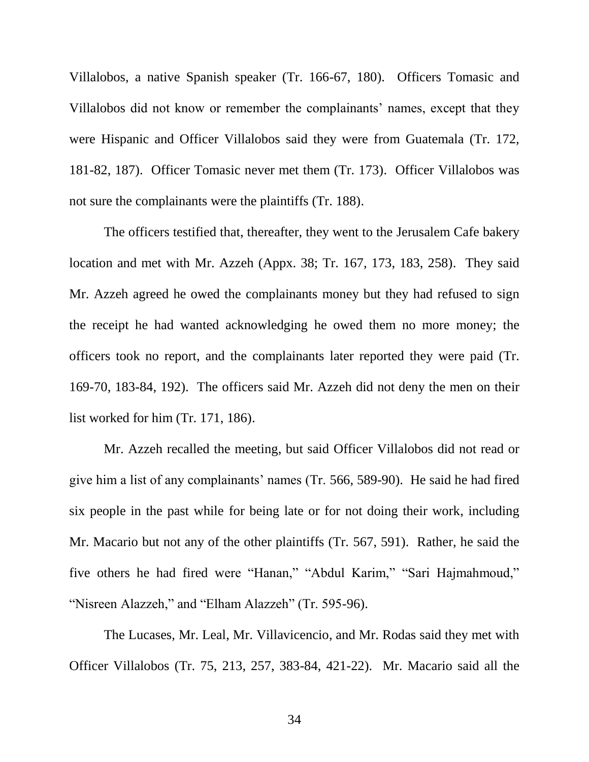Villalobos, a native Spanish speaker (Tr. 166-67, 180). Officers Tomasic and Villalobos did not know or remember the complainants' names, except that they were Hispanic and Officer Villalobos said they were from Guatemala (Tr. 172, 181-82, 187). Officer Tomasic never met them (Tr. 173). Officer Villalobos was not sure the complainants were the plaintiffs (Tr. 188).

The officers testified that, thereafter, they went to the Jerusalem Cafe bakery location and met with Mr. Azzeh (Appx. 38; Tr. 167, 173, 183, 258). They said Mr. Azzeh agreed he owed the complainants money but they had refused to sign the receipt he had wanted acknowledging he owed them no more money; the officers took no report, and the complainants later reported they were paid (Tr. 169-70, 183-84, 192). The officers said Mr. Azzeh did not deny the men on their list worked for him (Tr. 171, 186).

Mr. Azzeh recalled the meeting, but said Officer Villalobos did not read or give him a list of any complainants' names (Tr. 566, 589-90). He said he had fired six people in the past while for being late or for not doing their work, including Mr. Macario but not any of the other plaintiffs (Tr. 567, 591). Rather, he said the five others he had fired were "Hanan," "Abdul Karim," "Sari Hajmahmoud," "Nisreen Alazzeh," and "Elham Alazzeh" (Tr. 595-96).

The Lucases, Mr. Leal, Mr. Villavicencio, and Mr. Rodas said they met with Officer Villalobos (Tr. 75, 213, 257, 383-84, 421-22). Mr. Macario said all the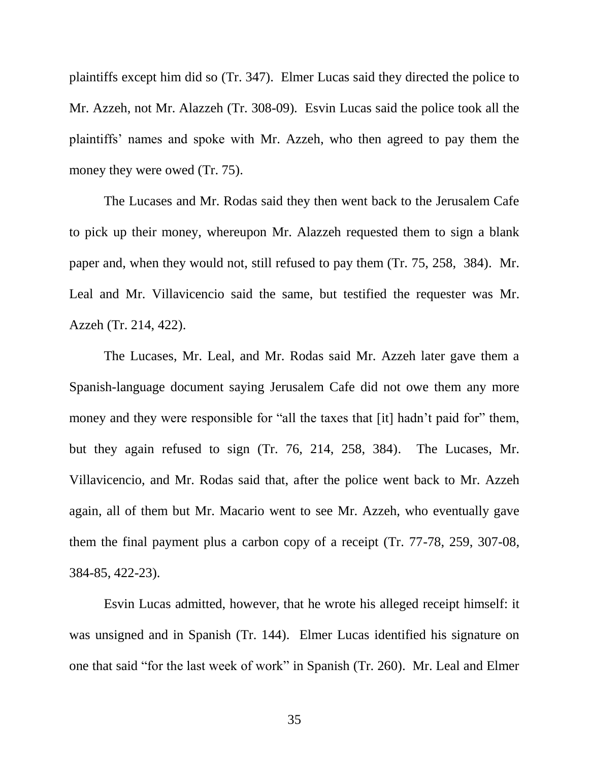plaintiffs except him did so (Tr. 347). Elmer Lucas said they directed the police to Mr. Azzeh, not Mr. Alazzeh (Tr. 308-09). Esvin Lucas said the police took all the plaintiffs' names and spoke with Mr. Azzeh, who then agreed to pay them the money they were owed (Tr. 75).

The Lucases and Mr. Rodas said they then went back to the Jerusalem Cafe to pick up their money, whereupon Mr. Alazzeh requested them to sign a blank paper and, when they would not, still refused to pay them (Tr. 75, 258, 384). Mr. Leal and Mr. Villavicencio said the same, but testified the requester was Mr. Azzeh (Tr. 214, 422).

The Lucases, Mr. Leal, and Mr. Rodas said Mr. Azzeh later gave them a Spanish-language document saying Jerusalem Cafe did not owe them any more money and they were responsible for "all the taxes that [it] hadn't paid for" them, but they again refused to sign (Tr. 76, 214, 258, 384). The Lucases, Mr. Villavicencio, and Mr. Rodas said that, after the police went back to Mr. Azzeh again, all of them but Mr. Macario went to see Mr. Azzeh, who eventually gave them the final payment plus a carbon copy of a receipt (Tr. 77-78, 259, 307-08, 384-85, 422-23).

Esvin Lucas admitted, however, that he wrote his alleged receipt himself: it was unsigned and in Spanish (Tr. 144). Elmer Lucas identified his signature on one that said "for the last week of work" in Spanish (Tr. 260). Mr. Leal and Elmer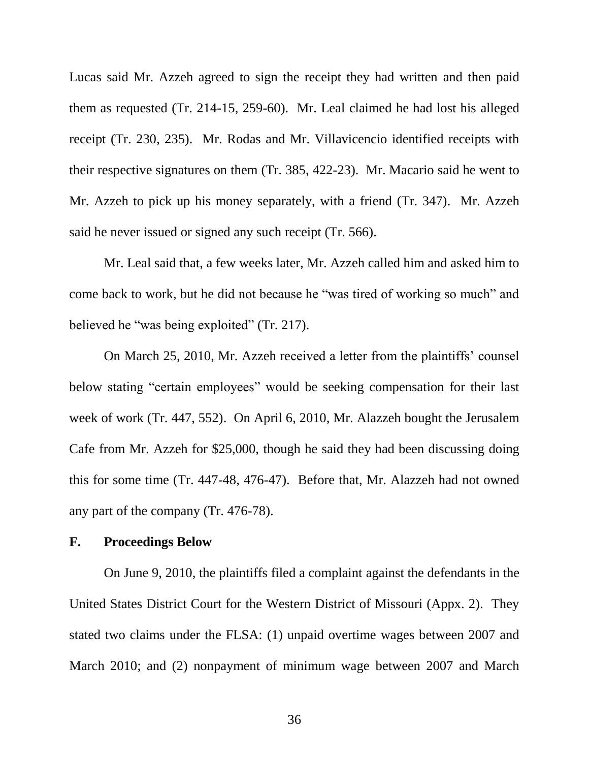Lucas said Mr. Azzeh agreed to sign the receipt they had written and then paid them as requested (Tr. 214-15, 259-60). Mr. Leal claimed he had lost his alleged receipt (Tr. 230, 235). Mr. Rodas and Mr. Villavicencio identified receipts with their respective signatures on them (Tr. 385, 422-23). Mr. Macario said he went to Mr. Azzeh to pick up his money separately, with a friend (Tr. 347). Mr. Azzeh said he never issued or signed any such receipt (Tr. 566).

Mr. Leal said that, a few weeks later, Mr. Azzeh called him and asked him to come back to work, but he did not because he "was tired of working so much" and believed he "was being exploited" (Tr. 217).

On March 25, 2010, Mr. Azzeh received a letter from the plaintiffs' counsel below stating "certain employees" would be seeking compensation for their last week of work (Tr. 447, 552). On April 6, 2010, Mr. Alazzeh bought the Jerusalem Cafe from Mr. Azzeh for \$25,000, though he said they had been discussing doing this for some time (Tr. 447-48, 476-47). Before that, Mr. Alazzeh had not owned any part of the company (Tr. 476-78).

## **F. Proceedings Below**

On June 9, 2010, the plaintiffs filed a complaint against the defendants in the United States District Court for the Western District of Missouri (Appx. 2). They stated two claims under the FLSA: (1) unpaid overtime wages between 2007 and March 2010; and (2) nonpayment of minimum wage between 2007 and March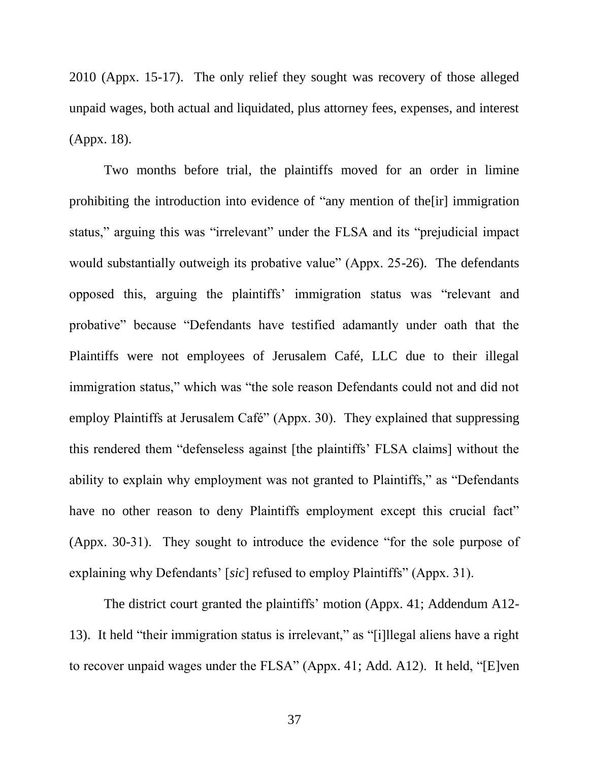2010 (Appx. 15-17). The only relief they sought was recovery of those alleged unpaid wages, both actual and liquidated, plus attorney fees, expenses, and interest (Appx. 18).

Two months before trial, the plaintiffs moved for an order in limine prohibiting the introduction into evidence of "any mention of the[ir] immigration status," arguing this was "irrelevant" under the FLSA and its "prejudicial impact would substantially outweigh its probative value" (Appx. 25-26). The defendants opposed this, arguing the plaintiffs' immigration status was "relevant and probative" because "Defendants have testified adamantly under oath that the Plaintiffs were not employees of Jerusalem Café, LLC due to their illegal immigration status," which was "the sole reason Defendants could not and did not employ Plaintiffs at Jerusalem Café" (Appx. 30). They explained that suppressing this rendered them "defenseless against [the plaintiffs' FLSA claims] without the ability to explain why employment was not granted to Plaintiffs," as "Defendants have no other reason to deny Plaintiffs employment except this crucial fact" (Appx. 30-31). They sought to introduce the evidence "for the sole purpose of explaining why Defendants' [*sic*] refused to employ Plaintiffs" (Appx. 31).

The district court granted the plaintiffs' motion (Appx. 41; Addendum A12- 13). It held "their immigration status is irrelevant," as "[i]llegal aliens have a right to recover unpaid wages under the FLSA" (Appx. 41; Add. A12). It held, "[E]ven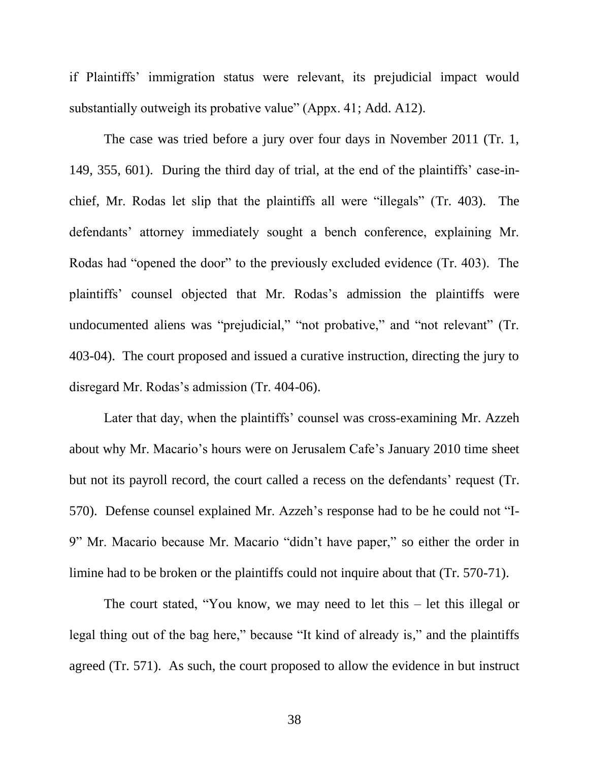if Plaintiffs' immigration status were relevant, its prejudicial impact would substantially outweigh its probative value" (Appx. 41; Add. A12).

The case was tried before a jury over four days in November 2011 (Tr. 1, 149, 355, 601). During the third day of trial, at the end of the plaintiffs' case-inchief, Mr. Rodas let slip that the plaintiffs all were "illegals" (Tr. 403). The defendants' attorney immediately sought a bench conference, explaining Mr. Rodas had "opened the door" to the previously excluded evidence (Tr. 403). The plaintiffs' counsel objected that Mr. Rodas's admission the plaintiffs were undocumented aliens was "prejudicial," "not probative," and "not relevant" (Tr. 403-04). The court proposed and issued a curative instruction, directing the jury to disregard Mr. Rodas's admission (Tr. 404-06).

Later that day, when the plaintiffs' counsel was cross-examining Mr. Azzeh about why Mr. Macario's hours were on Jerusalem Cafe's January 2010 time sheet but not its payroll record, the court called a recess on the defendants' request (Tr. 570). Defense counsel explained Mr. Azzeh's response had to be he could not "I-9" Mr. Macario because Mr. Macario "didn't have paper," so either the order in limine had to be broken or the plaintiffs could not inquire about that (Tr. 570-71).

The court stated, "You know, we may need to let this – let this illegal or legal thing out of the bag here," because "It kind of already is," and the plaintiffs agreed (Tr. 571). As such, the court proposed to allow the evidence in but instruct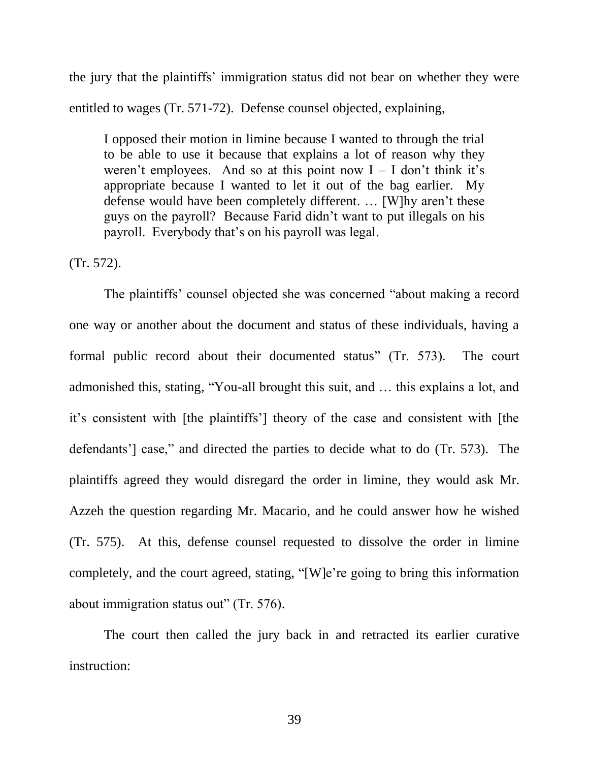the jury that the plaintiffs' immigration status did not bear on whether they were entitled to wages (Tr. 571-72). Defense counsel objected, explaining,

I opposed their motion in limine because I wanted to through the trial to be able to use it because that explains a lot of reason why they weren't employees. And so at this point now  $I - I$  don't think it's appropriate because I wanted to let it out of the bag earlier. My defense would have been completely different. … [W]hy aren't these guys on the payroll? Because Farid didn't want to put illegals on his payroll. Everybody that's on his payroll was legal.

(Tr. 572).

The plaintiffs' counsel objected she was concerned "about making a record one way or another about the document and status of these individuals, having a formal public record about their documented status" (Tr. 573). The court admonished this, stating, "You-all brought this suit, and … this explains a lot, and it's consistent with [the plaintiffs'] theory of the case and consistent with [the defendants'] case," and directed the parties to decide what to do (Tr. 573). The plaintiffs agreed they would disregard the order in limine, they would ask Mr. Azzeh the question regarding Mr. Macario, and he could answer how he wished (Tr. 575). At this, defense counsel requested to dissolve the order in limine completely, and the court agreed, stating, "[W]e're going to bring this information about immigration status out" (Tr. 576).

The court then called the jury back in and retracted its earlier curative instruction: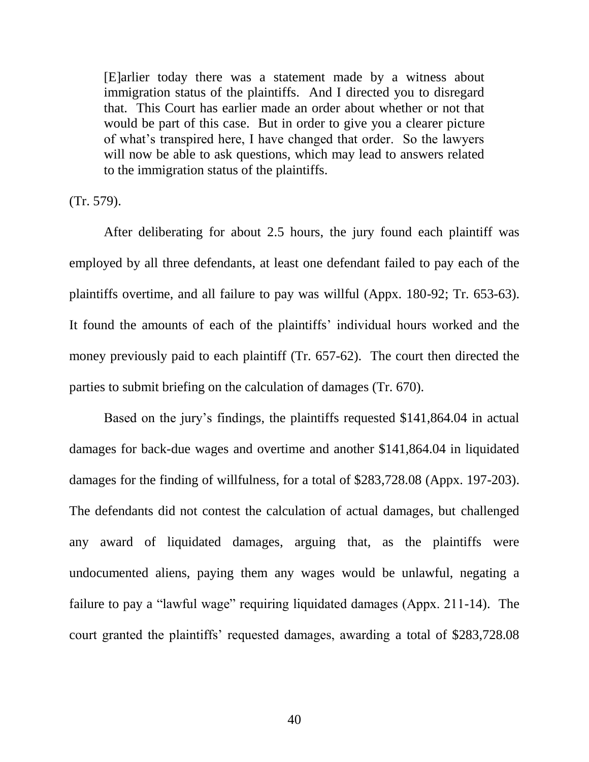[E]arlier today there was a statement made by a witness about immigration status of the plaintiffs. And I directed you to disregard that. This Court has earlier made an order about whether or not that would be part of this case. But in order to give you a clearer picture of what's transpired here, I have changed that order. So the lawyers will now be able to ask questions, which may lead to answers related to the immigration status of the plaintiffs.

(Tr. 579).

After deliberating for about 2.5 hours, the jury found each plaintiff was employed by all three defendants, at least one defendant failed to pay each of the plaintiffs overtime, and all failure to pay was willful (Appx. 180-92; Tr. 653-63). It found the amounts of each of the plaintiffs' individual hours worked and the money previously paid to each plaintiff (Tr. 657-62). The court then directed the parties to submit briefing on the calculation of damages (Tr. 670).

Based on the jury's findings, the plaintiffs requested \$141,864.04 in actual damages for back-due wages and overtime and another \$141,864.04 in liquidated damages for the finding of willfulness, for a total of \$283,728.08 (Appx. 197-203). The defendants did not contest the calculation of actual damages, but challenged any award of liquidated damages, arguing that, as the plaintiffs were undocumented aliens, paying them any wages would be unlawful, negating a failure to pay a "lawful wage" requiring liquidated damages (Appx. 211-14). The court granted the plaintiffs' requested damages, awarding a total of \$283,728.08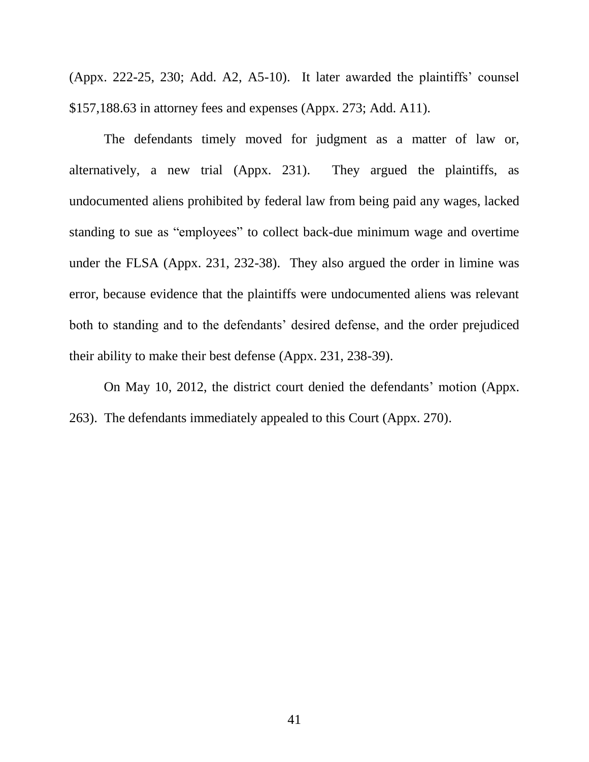(Appx. 222-25, 230; Add. A2, A5-10). It later awarded the plaintiffs' counsel \$157,188.63 in attorney fees and expenses (Appx. 273; Add. A11).

The defendants timely moved for judgment as a matter of law or, alternatively, a new trial (Appx. 231). They argued the plaintiffs, as undocumented aliens prohibited by federal law from being paid any wages, lacked standing to sue as "employees" to collect back-due minimum wage and overtime under the FLSA (Appx. 231, 232-38). They also argued the order in limine was error, because evidence that the plaintiffs were undocumented aliens was relevant both to standing and to the defendants' desired defense, and the order prejudiced their ability to make their best defense (Appx. 231, 238-39).

On May 10, 2012, the district court denied the defendants' motion (Appx. 263). The defendants immediately appealed to this Court (Appx. 270).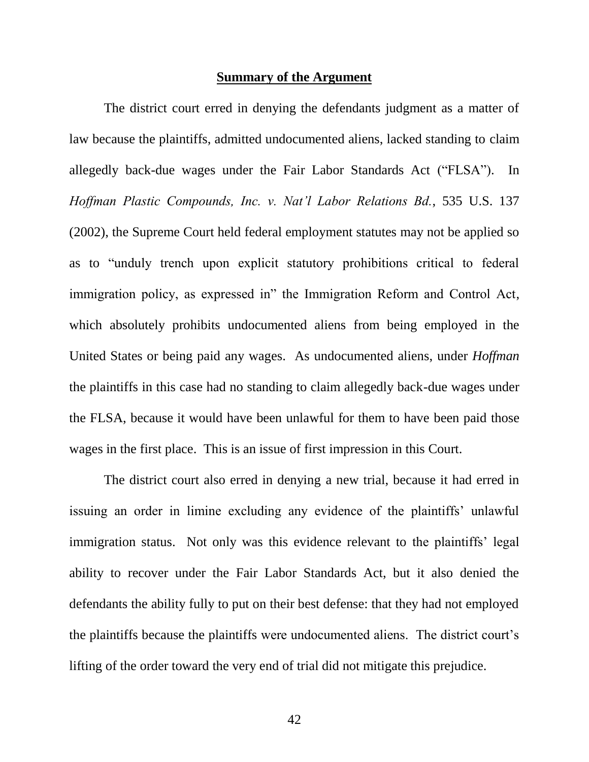#### **Summary of the Argument**

The district court erred in denying the defendants judgment as a matter of law because the plaintiffs, admitted undocumented aliens, lacked standing to claim allegedly back-due wages under the Fair Labor Standards Act ("FLSA"). In *Hoffman Plastic Compounds, Inc. v. Nat'l Labor Relations Bd.*, 535 U.S. 137 (2002), the Supreme Court held federal employment statutes may not be applied so as to "unduly trench upon explicit statutory prohibitions critical to federal immigration policy, as expressed in" the Immigration Reform and Control Act, which absolutely prohibits undocumented aliens from being employed in the United States or being paid any wages. As undocumented aliens, under *Hoffman* the plaintiffs in this case had no standing to claim allegedly back-due wages under the FLSA, because it would have been unlawful for them to have been paid those wages in the first place. This is an issue of first impression in this Court.

The district court also erred in denying a new trial, because it had erred in issuing an order in limine excluding any evidence of the plaintiffs' unlawful immigration status. Not only was this evidence relevant to the plaintiffs' legal ability to recover under the Fair Labor Standards Act, but it also denied the defendants the ability fully to put on their best defense: that they had not employed the plaintiffs because the plaintiffs were undocumented aliens. The district court's lifting of the order toward the very end of trial did not mitigate this prejudice.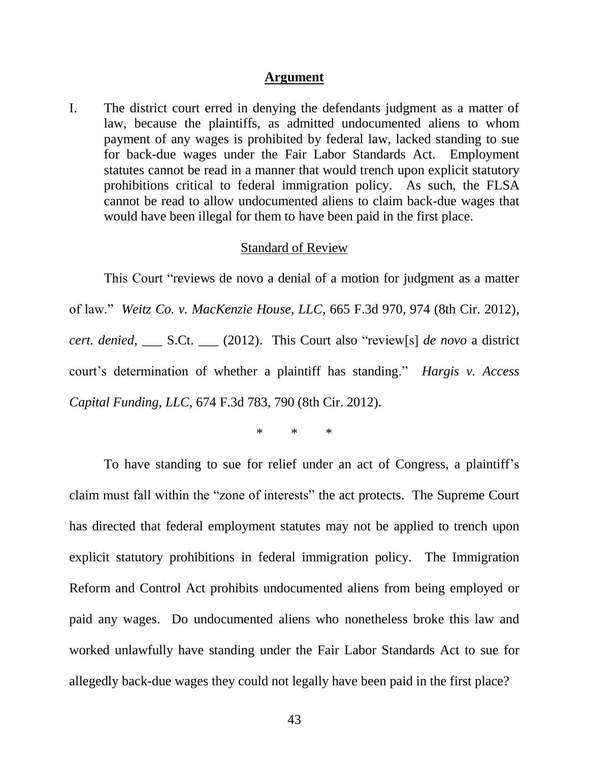#### **Argument**

I. The district court erred in denying the defendants judgment as a matter of law, because the plaintiffs, as admitted undocumented aliens to whom payment of any wages is prohibited by federal law, lacked standing to sue for back-due wages under the Fair Labor Standards Act. Employment statutes cannot be read in a manner that would trench upon explicit statutory prohibitions critical to federal immigration policy. As such, the FLSA cannot be read to allow undocumented aliens to claim back-due wages that would have been illegal for them to have been paid in the first place.

#### Standard of Review

This Court "reviews de novo a denial of a motion for judgment as a matter of law." *Weitz Co. v. MacKenzie House, LLC*, 665 F.3d 970, 974 (8th Cir. 2012), *cert. denied*, \_\_\_ S.Ct. \_\_\_ (2012). This Court also "review[s] *de novo* a district court's determination of whether a plaintiff has standing." *Hargis v. Access Capital Funding, LLC*, 674 F.3d 783, 790 (8th Cir. 2012).

\* \* \*

To have standing to sue for relief under an act of Congress, a plaintiff's claim must fall within the "zone of interests" the act protects. The Supreme Court has directed that federal employment statutes may not be applied to trench upon explicit statutory prohibitions in federal immigration policy. The Immigration Reform and Control Act prohibits undocumented aliens from being employed or paid any wages. Do undocumented aliens who nonetheless broke this law and worked unlawfully have standing under the Fair Labor Standards Act to sue for allegedly back-due wages they could not legally have been paid in the first place?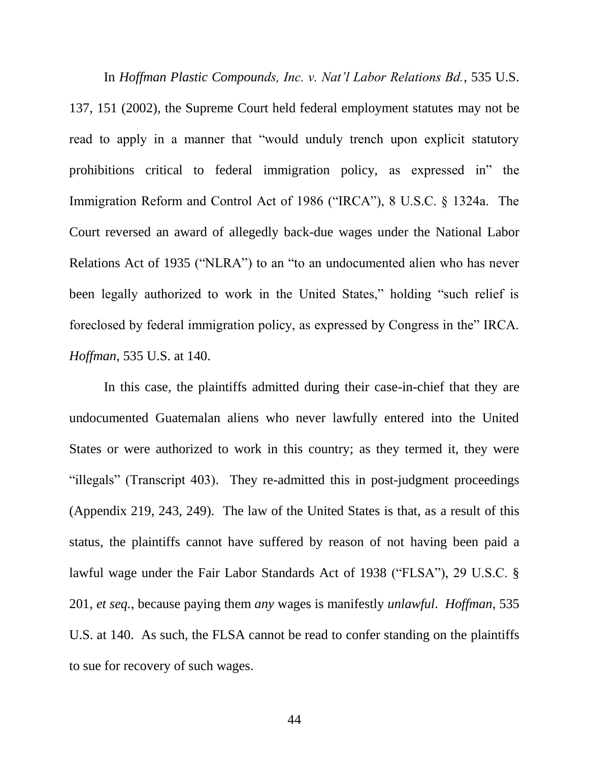In *Hoffman Plastic Compounds, Inc. v. Nat'l Labor Relations Bd.*, 535 U.S. 137, 151 (2002), the Supreme Court held federal employment statutes may not be read to apply in a manner that "would unduly trench upon explicit statutory prohibitions critical to federal immigration policy, as expressed in" the Immigration Reform and Control Act of 1986 ("IRCA"), 8 U.S.C. § 1324a. The Court reversed an award of allegedly back-due wages under the National Labor Relations Act of 1935 ("NLRA") to an "to an undocumented alien who has never been legally authorized to work in the United States," holding "such relief is foreclosed by federal immigration policy, as expressed by Congress in the" IRCA. *Hoffman*, 535 U.S. at 140.

In this case, the plaintiffs admitted during their case-in-chief that they are undocumented Guatemalan aliens who never lawfully entered into the United States or were authorized to work in this country; as they termed it, they were "illegals" (Transcript 403). They re-admitted this in post-judgment proceedings (Appendix 219, 243, 249). The law of the United States is that, as a result of this status, the plaintiffs cannot have suffered by reason of not having been paid a lawful wage under the Fair Labor Standards Act of 1938 ("FLSA"), 29 U.S.C. § 201, *et seq.*, because paying them *any* wages is manifestly *unlawful*. *Hoffman*, 535 U.S. at 140. As such, the FLSA cannot be read to confer standing on the plaintiffs to sue for recovery of such wages.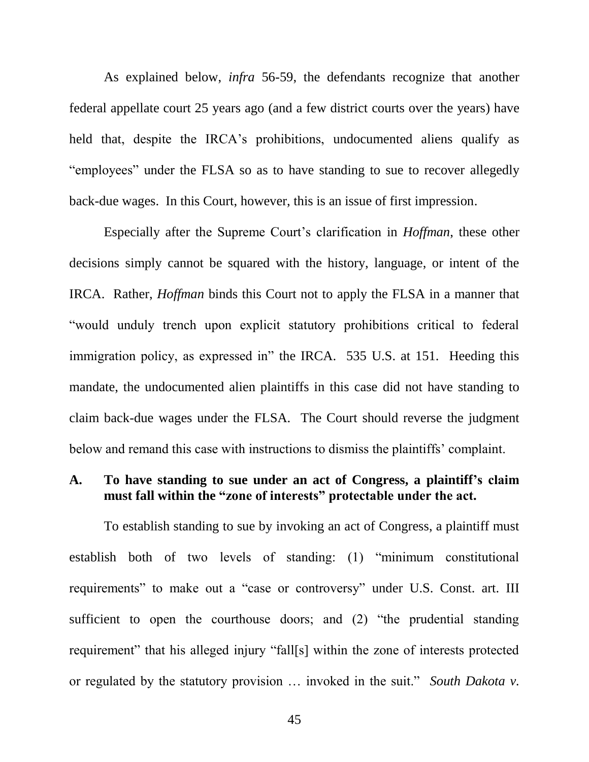As explained below, *infra* 56-59, the defendants recognize that another federal appellate court 25 years ago (and a few district courts over the years) have held that, despite the IRCA's prohibitions, undocumented aliens qualify as "employees" under the FLSA so as to have standing to sue to recover allegedly back-due wages. In this Court, however, this is an issue of first impression.

Especially after the Supreme Court's clarification in *Hoffman*, these other decisions simply cannot be squared with the history, language, or intent of the IRCA. Rather, *Hoffman* binds this Court not to apply the FLSA in a manner that "would unduly trench upon explicit statutory prohibitions critical to federal immigration policy, as expressed in" the IRCA. 535 U.S. at 151. Heeding this mandate, the undocumented alien plaintiffs in this case did not have standing to claim back-due wages under the FLSA. The Court should reverse the judgment below and remand this case with instructions to dismiss the plaintiffs' complaint.

## **A. To have standing to sue under an act of Congress, a plaintiff's claim must fall within the "zone of interests" protectable under the act.**

To establish standing to sue by invoking an act of Congress, a plaintiff must establish both of two levels of standing: (1) "minimum constitutional requirements" to make out a "case or controversy" under U.S. Const. art. III sufficient to open the courthouse doors; and (2) "the prudential standing requirement" that his alleged injury "fall[s] within the zone of interests protected or regulated by the statutory provision … invoked in the suit." *South Dakota v.*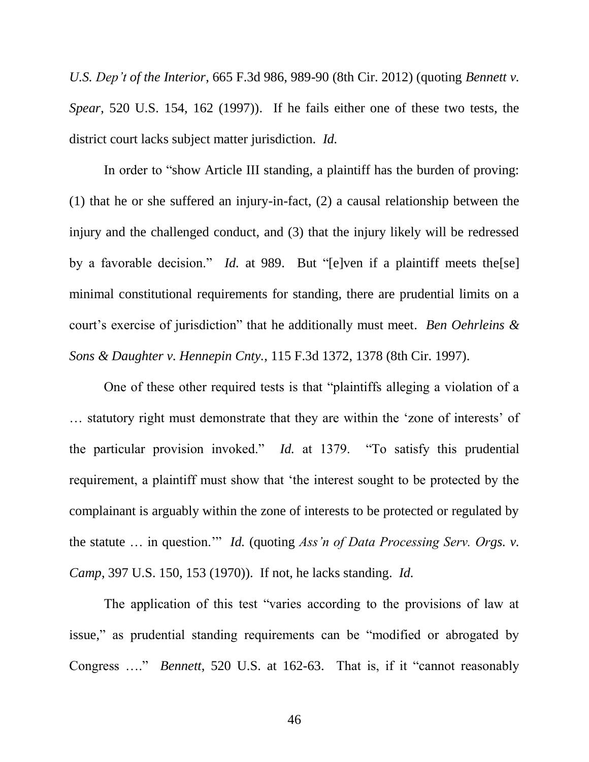*U.S. Dep't of the Interior*, 665 F.3d 986, 989-90 (8th Cir. 2012) (quoting *Bennett v. Spear*, 520 U.S. 154, 162 (1997)). If he fails either one of these two tests, the district court lacks subject matter jurisdiction. *Id.*

In order to "show Article III standing, a plaintiff has the burden of proving: (1) that he or she suffered an injury-in-fact, (2) a causal relationship between the injury and the challenged conduct, and (3) that the injury likely will be redressed by a favorable decision." *Id.* at 989. But "[e]ven if a plaintiff meets the[se] minimal constitutional requirements for standing, there are prudential limits on a court's exercise of jurisdiction" that he additionally must meet. *Ben Oehrleins & Sons & Daughter v. Hennepin Cnty.*, 115 F.3d 1372, 1378 (8th Cir. 1997).

One of these other required tests is that "plaintiffs alleging a violation of a … statutory right must demonstrate that they are within the 'zone of interests' of the particular provision invoked." *Id.* at 1379. "To satisfy this prudential requirement, a plaintiff must show that 'the interest sought to be protected by the complainant is arguably within the zone of interests to be protected or regulated by the statute … in question.'" *Id.* (quoting *Ass'n of Data Processing Serv. Orgs. v. Camp*, 397 U.S. 150, 153 (1970)). If not, he lacks standing. *Id.*

The application of this test "varies according to the provisions of law at issue," as prudential standing requirements can be "modified or abrogated by Congress …." *Bennett*, 520 U.S. at 162-63. That is, if it "cannot reasonably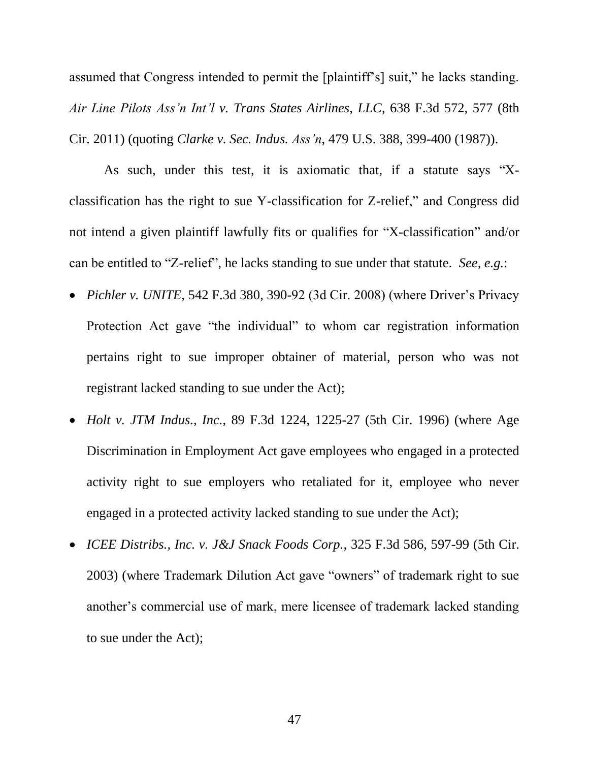assumed that Congress intended to permit the [plaintiff's] suit," he lacks standing. *Air Line Pilots Ass'n Int'l v. Trans States Airlines, LLC*, 638 F.3d 572, 577 (8th Cir. 2011) (quoting *Clarke v. Sec. Indus. Ass'n*, 479 U.S. 388, 399-400 (1987)).

As such, under this test, it is axiomatic that, if a statute says "Xclassification has the right to sue Y-classification for Z-relief," and Congress did not intend a given plaintiff lawfully fits or qualifies for "X-classification" and/or can be entitled to "Z-relief", he lacks standing to sue under that statute. *See, e.g.*:

- *Pichler v. UNITE*, 542 F.3d 380, 390-92 (3d Cir. 2008) (where Driver's Privacy Protection Act gave "the individual" to whom car registration information pertains right to sue improper obtainer of material, person who was not registrant lacked standing to sue under the Act);
- *Holt v. JTM Indus., Inc.*, 89 F.3d 1224, 1225-27 (5th Cir. 1996) (where Age Discrimination in Employment Act gave employees who engaged in a protected activity right to sue employers who retaliated for it, employee who never engaged in a protected activity lacked standing to sue under the Act);
- *ICEE Distribs., Inc. v. J&J Snack Foods Corp.*, 325 F.3d 586, 597-99 (5th Cir. 2003) (where Trademark Dilution Act gave "owners" of trademark right to sue another's commercial use of mark, mere licensee of trademark lacked standing to sue under the Act);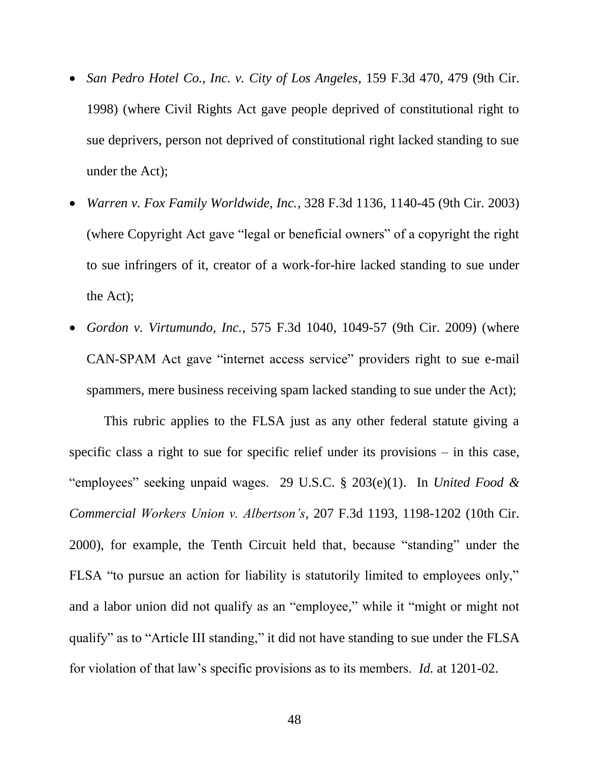- *San Pedro Hotel Co., Inc. v. City of Los Angeles*, 159 F.3d 470, 479 (9th Cir. 1998) (where Civil Rights Act gave people deprived of constitutional right to sue deprivers, person not deprived of constitutional right lacked standing to sue under the Act);
- *Warren v. Fox Family Worldwide, Inc.*, 328 F.3d 1136, 1140-45 (9th Cir. 2003) (where Copyright Act gave "legal or beneficial owners" of a copyright the right to sue infringers of it, creator of a work-for-hire lacked standing to sue under the Act);
- *Gordon v. Virtumundo, Inc.*, 575 F.3d 1040, 1049-57 (9th Cir. 2009) (where CAN-SPAM Act gave "internet access service" providers right to sue e-mail spammers, mere business receiving spam lacked standing to sue under the Act);

This rubric applies to the FLSA just as any other federal statute giving a specific class a right to sue for specific relief under its provisions – in this case, "employees" seeking unpaid wages. 29 U.S.C. § 203(e)(1). In *United Food & Commercial Workers Union v. Albertson's*, 207 F.3d 1193, 1198-1202 (10th Cir. 2000), for example, the Tenth Circuit held that, because "standing" under the FLSA "to pursue an action for liability is statutorily limited to employees only," and a labor union did not qualify as an "employee," while it "might or might not qualify" as to "Article III standing," it did not have standing to sue under the FLSA for violation of that law's specific provisions as to its members. *Id.* at 1201-02.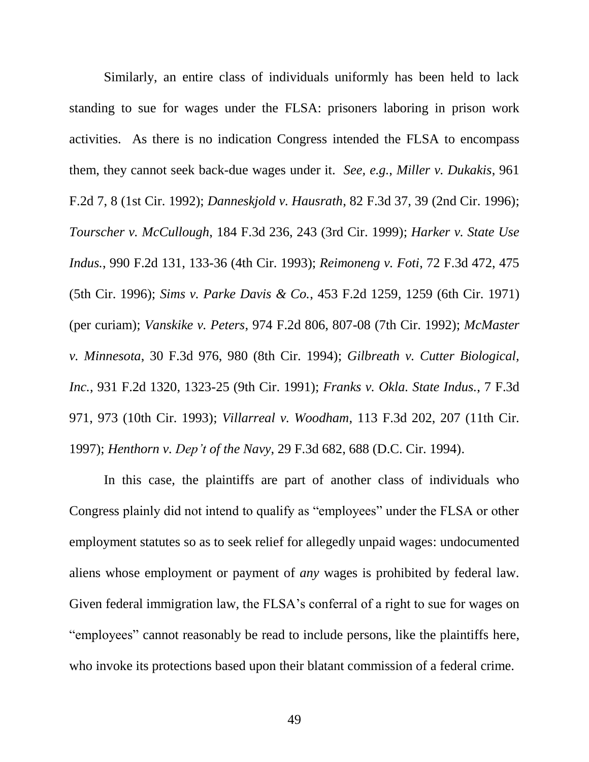Similarly, an entire class of individuals uniformly has been held to lack standing to sue for wages under the FLSA: prisoners laboring in prison work activities. As there is no indication Congress intended the FLSA to encompass them, they cannot seek back-due wages under it. *See, e.g.*, *Miller v. Dukakis*, 961 F.2d 7, 8 (1st Cir. 1992); *Danneskjold v. Hausrath*, 82 F.3d 37, 39 (2nd Cir. 1996); *Tourscher v. McCullough*, 184 F.3d 236, 243 (3rd Cir. 1999); *Harker v. State Use Indus.*, 990 F.2d 131, 133-36 (4th Cir. 1993); *Reimoneng v. Foti*, 72 F.3d 472, 475 (5th Cir. 1996); *Sims v. Parke Davis & Co.*, 453 F.2d 1259, 1259 (6th Cir. 1971) (per curiam); *Vanskike v. Peters*, 974 F.2d 806, 807-08 (7th Cir. 1992); *McMaster v. Minnesota*, 30 F.3d 976, 980 (8th Cir. 1994); *Gilbreath v. Cutter Biological, Inc.*, 931 F.2d 1320, 1323-25 (9th Cir. 1991); *Franks v. Okla. State Indus.*, 7 F.3d 971, 973 (10th Cir. 1993); *Villarreal v. Woodham*, 113 F.3d 202, 207 (11th Cir. 1997); *Henthorn v. Dep't of the Navy*, 29 F.3d 682, 688 (D.C. Cir. 1994).

In this case, the plaintiffs are part of another class of individuals who Congress plainly did not intend to qualify as "employees" under the FLSA or other employment statutes so as to seek relief for allegedly unpaid wages: undocumented aliens whose employment or payment of *any* wages is prohibited by federal law. Given federal immigration law, the FLSA's conferral of a right to sue for wages on "employees" cannot reasonably be read to include persons, like the plaintiffs here, who invoke its protections based upon their blatant commission of a federal crime.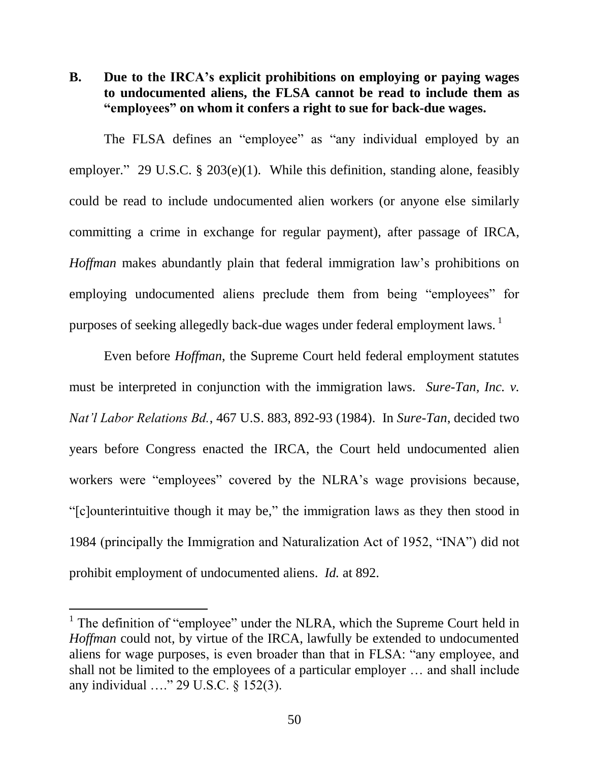**B. Due to the IRCA's explicit prohibitions on employing or paying wages to undocumented aliens, the FLSA cannot be read to include them as "employees" on whom it confers a right to sue for back-due wages.**

The FLSA defines an "employee" as "any individual employed by an employer." 29 U.S.C. § 203(e)(1). While this definition, standing alone, feasibly could be read to include undocumented alien workers (or anyone else similarly committing a crime in exchange for regular payment), after passage of IRCA, *Hoffman* makes abundantly plain that federal immigration law's prohibitions on employing undocumented aliens preclude them from being "employees" for purposes of seeking allegedly back-due wages under federal employment laws.  $\frac{1}{1}$ 

Even before *Hoffman*, the Supreme Court held federal employment statutes must be interpreted in conjunction with the immigration laws. *Sure-Tan, Inc. v. Nat'l Labor Relations Bd.*, 467 U.S. 883, 892-93 (1984). In *Sure-Tan*, decided two years before Congress enacted the IRCA, the Court held undocumented alien workers were "employees" covered by the NLRA's wage provisions because, "[c]ounterintuitive though it may be," the immigration laws as they then stood in 1984 (principally the Immigration and Naturalization Act of 1952, "INA") did not prohibit employment of undocumented aliens. *Id.* at 892.

 $\overline{a}$ 

<sup>&</sup>lt;sup>1</sup> The definition of "employee" under the NLRA, which the Supreme Court held in *Hoffman* could not, by virtue of the IRCA, lawfully be extended to undocumented aliens for wage purposes, is even broader than that in FLSA: "any employee, and shall not be limited to the employees of a particular employer … and shall include any individual …." 29 U.S.C. § 152(3).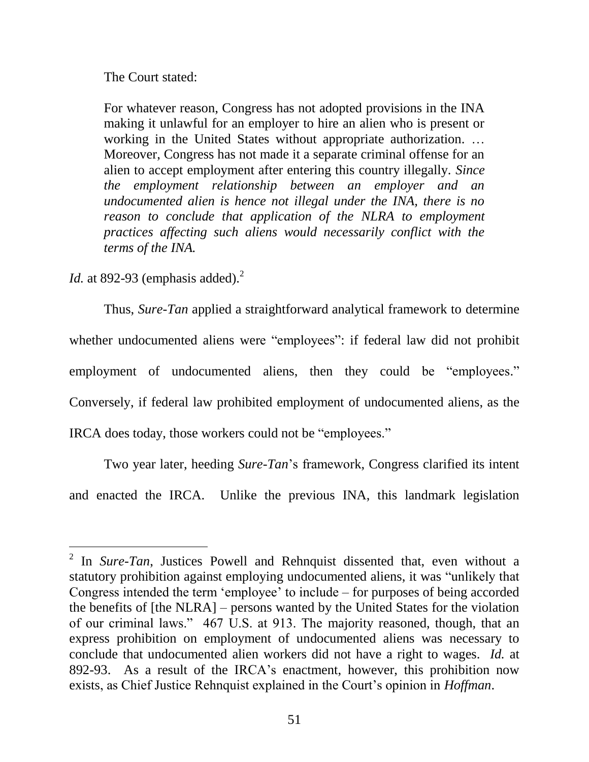The Court stated:

For whatever reason, Congress has not adopted provisions in the INA making it unlawful for an employer to hire an alien who is present or working in the United States without appropriate authorization. … Moreover, Congress has not made it a separate criminal offense for an alien to accept employment after entering this country illegally. *Since the employment relationship between an employer and an undocumented alien is hence not illegal under the INA, there is no reason to conclude that application of the NLRA to employment practices affecting such aliens would necessarily conflict with the terms of the INA.*

*Id.* at 892-93 (emphasis added).<sup>2</sup>

 $\overline{a}$ 

Thus, *Sure-Tan* applied a straightforward analytical framework to determine whether undocumented aliens were "employees": if federal law did not prohibit employment of undocumented aliens, then they could be "employees." Conversely, if federal law prohibited employment of undocumented aliens, as the IRCA does today, those workers could not be "employees."

Two year later, heeding *Sure-Tan*'s framework, Congress clarified its intent and enacted the IRCA. Unlike the previous INA, this landmark legislation

<sup>2</sup> In *Sure-Tan*, Justices Powell and Rehnquist dissented that, even without a statutory prohibition against employing undocumented aliens, it was "unlikely that Congress intended the term 'employee' to include – for purposes of being accorded the benefits of [the NLRA] – persons wanted by the United States for the violation of our criminal laws." 467 U.S. at 913. The majority reasoned, though, that an express prohibition on employment of undocumented aliens was necessary to conclude that undocumented alien workers did not have a right to wages. *Id.* at 892-93. As a result of the IRCA's enactment, however, this prohibition now exists, as Chief Justice Rehnquist explained in the Court's opinion in *Hoffman*.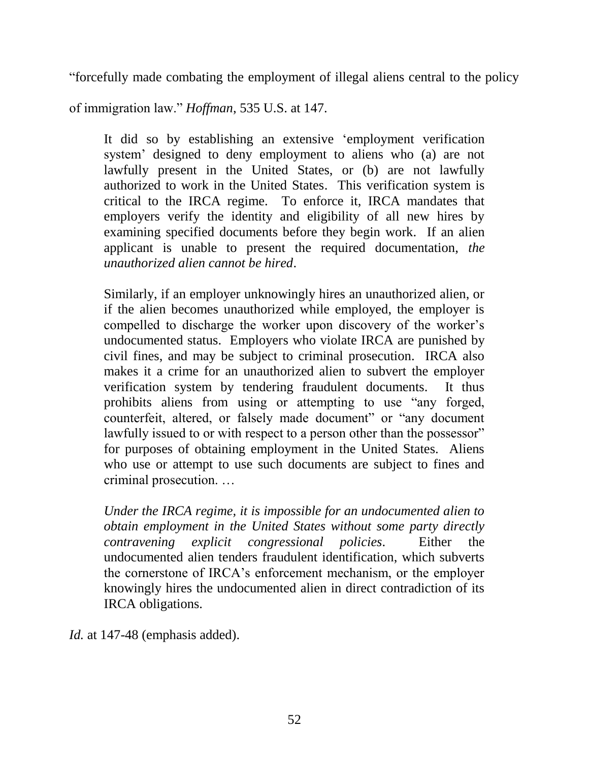"forcefully made combating the employment of illegal aliens central to the policy

of immigration law." *Hoffman*, 535 U.S. at 147.

It did so by establishing an extensive 'employment verification system' designed to deny employment to aliens who (a) are not lawfully present in the United States, or (b) are not lawfully authorized to work in the United States. This verification system is critical to the IRCA regime. To enforce it, IRCA mandates that employers verify the identity and eligibility of all new hires by examining specified documents before they begin work. If an alien applicant is unable to present the required documentation, *the unauthorized alien cannot be hired*.

Similarly, if an employer unknowingly hires an unauthorized alien, or if the alien becomes unauthorized while employed, the employer is compelled to discharge the worker upon discovery of the worker's undocumented status. Employers who violate IRCA are punished by civil fines, and may be subject to criminal prosecution. IRCA also makes it a crime for an unauthorized alien to subvert the employer verification system by tendering fraudulent documents. It thus prohibits aliens from using or attempting to use "any forged, counterfeit, altered, or falsely made document" or "any document lawfully issued to or with respect to a person other than the possessor" for purposes of obtaining employment in the United States. Aliens who use or attempt to use such documents are subject to fines and criminal prosecution. …

*Under the IRCA regime, it is impossible for an undocumented alien to obtain employment in the United States without some party directly contravening explicit congressional policies*. Either the undocumented alien tenders fraudulent identification, which subverts the cornerstone of IRCA's enforcement mechanism, or the employer knowingly hires the undocumented alien in direct contradiction of its IRCA obligations.

*Id.* at 147-48 (emphasis added).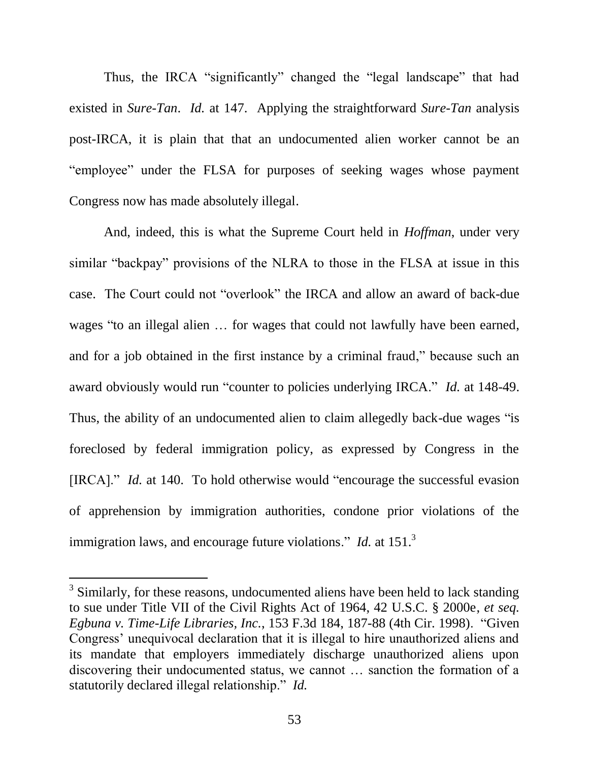Thus, the IRCA "significantly" changed the "legal landscape" that had existed in *Sure-Tan*. *Id.* at 147. Applying the straightforward *Sure-Tan* analysis post-IRCA, it is plain that that an undocumented alien worker cannot be an "employee" under the FLSA for purposes of seeking wages whose payment Congress now has made absolutely illegal.

And, indeed, this is what the Supreme Court held in *Hoffman*, under very similar "backpay" provisions of the NLRA to those in the FLSA at issue in this case. The Court could not "overlook" the IRCA and allow an award of back-due wages "to an illegal alien … for wages that could not lawfully have been earned, and for a job obtained in the first instance by a criminal fraud," because such an award obviously would run "counter to policies underlying IRCA." *Id.* at 148-49. Thus, the ability of an undocumented alien to claim allegedly back-due wages "is foreclosed by federal immigration policy, as expressed by Congress in the [IRCA]." *Id.* at 140. To hold otherwise would "encourage the successful evasion of apprehension by immigration authorities, condone prior violations of the immigration laws, and encourage future violations." *Id.* at 151.<sup>3</sup>

l

<sup>&</sup>lt;sup>3</sup> Similarly, for these reasons, undocumented aliens have been held to lack standing to sue under Title VII of the Civil Rights Act of 1964, 42 U.S.C. § 2000e, *et seq. Egbuna v. Time-Life Libraries, Inc.*, 153 F.3d 184, 187-88 (4th Cir. 1998). "Given Congress' unequivocal declaration that it is illegal to hire unauthorized aliens and its mandate that employers immediately discharge unauthorized aliens upon discovering their undocumented status, we cannot … sanction the formation of a statutorily declared illegal relationship." *Id.*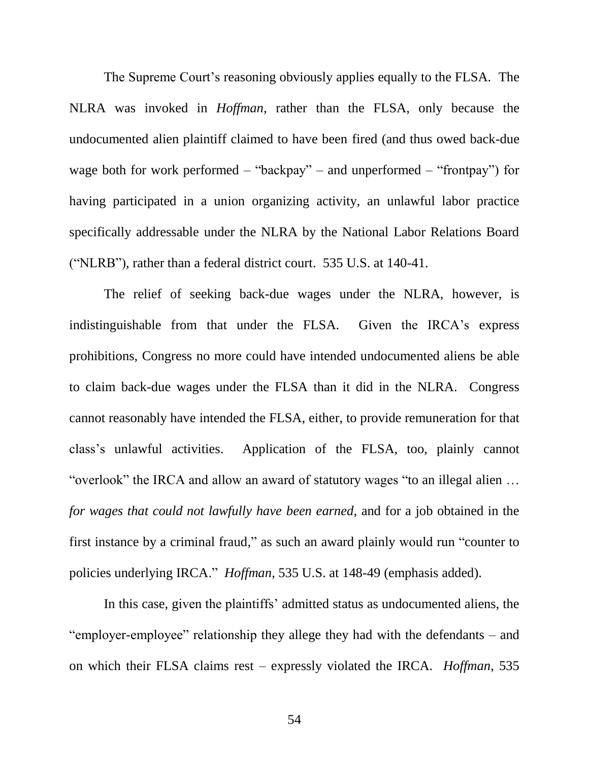The Supreme Court's reasoning obviously applies equally to the FLSA. The NLRA was invoked in *Hoffman*, rather than the FLSA, only because the undocumented alien plaintiff claimed to have been fired (and thus owed back-due wage both for work performed – "backpay" – and unperformed – "frontpay") for having participated in a union organizing activity, an unlawful labor practice specifically addressable under the NLRA by the National Labor Relations Board ("NLRB"), rather than a federal district court. 535 U.S. at 140-41.

The relief of seeking back-due wages under the NLRA, however, is indistinguishable from that under the FLSA. Given the IRCA's express prohibitions, Congress no more could have intended undocumented aliens be able to claim back-due wages under the FLSA than it did in the NLRA. Congress cannot reasonably have intended the FLSA, either, to provide remuneration for that class's unlawful activities. Application of the FLSA, too, plainly cannot "overlook" the IRCA and allow an award of statutory wages "to an illegal alien … *for wages that could not lawfully have been earned*, and for a job obtained in the first instance by a criminal fraud," as such an award plainly would run "counter to policies underlying IRCA." *Hoffman*, 535 U.S. at 148-49 (emphasis added).

In this case, given the plaintiffs' admitted status as undocumented aliens, the "employer-employee" relationship they allege they had with the defendants – and on which their FLSA claims rest – expressly violated the IRCA. *Hoffman*, 535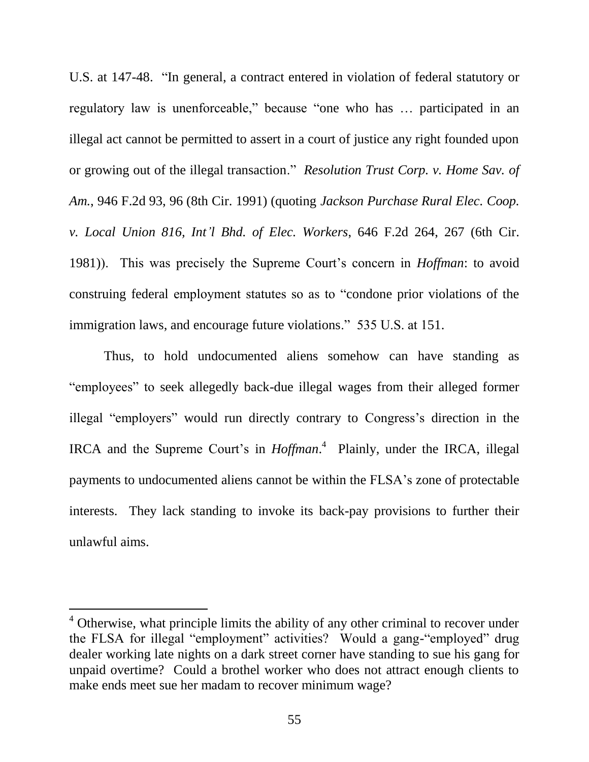U.S. at 147-48. "In general, a contract entered in violation of federal statutory or regulatory law is unenforceable," because "one who has … participated in an illegal act cannot be permitted to assert in a court of justice any right founded upon or growing out of the illegal transaction." *Resolution Trust Corp. v. Home Sav. of Am.*, 946 F.2d 93, 96 (8th Cir. 1991) (quoting *Jackson Purchase Rural Elec. Coop. v. Local Union 816, Int'l Bhd. of Elec. Workers*, 646 F.2d 264, 267 (6th Cir. 1981)). This was precisely the Supreme Court's concern in *Hoffman*: to avoid construing federal employment statutes so as to "condone prior violations of the immigration laws, and encourage future violations." 535 U.S. at 151.

Thus, to hold undocumented aliens somehow can have standing as "employees" to seek allegedly back-due illegal wages from their alleged former illegal "employers" would run directly contrary to Congress's direction in the IRCA and the Supreme Court's in *Hoffman*. 4 Plainly, under the IRCA, illegal payments to undocumented aliens cannot be within the FLSA's zone of protectable interests. They lack standing to invoke its back-pay provisions to further their unlawful aims.

 $\overline{a}$ 

<sup>&</sup>lt;sup>4</sup> Otherwise, what principle limits the ability of any other criminal to recover under the FLSA for illegal "employment" activities? Would a gang-"employed" drug dealer working late nights on a dark street corner have standing to sue his gang for unpaid overtime? Could a brothel worker who does not attract enough clients to make ends meet sue her madam to recover minimum wage?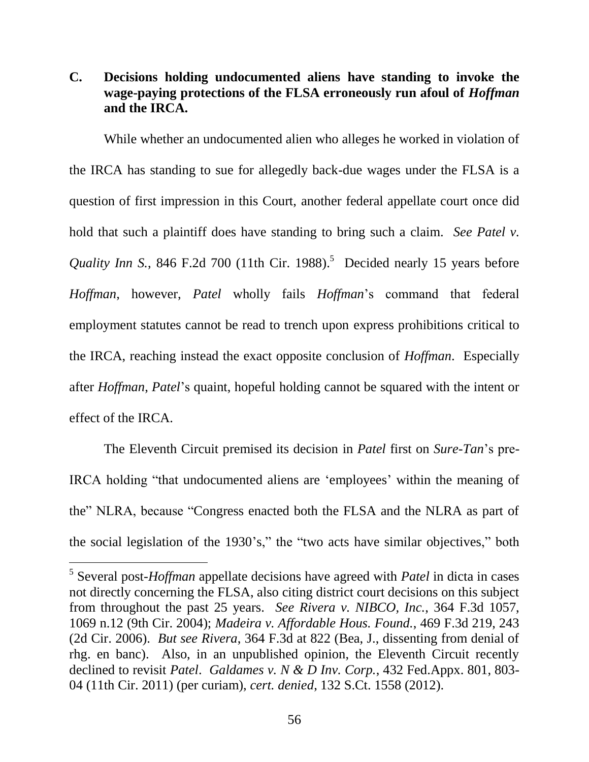## **C. Decisions holding undocumented aliens have standing to invoke the wage-paying protections of the FLSA erroneously run afoul of** *Hoffman* **and the IRCA.**

While whether an undocumented alien who alleges he worked in violation of the IRCA has standing to sue for allegedly back-due wages under the FLSA is a question of first impression in this Court, another federal appellate court once did hold that such a plaintiff does have standing to bring such a claim. *See Patel v. Quality Inn S.*, 846 F.2d 700 (11th Cir. 1988).<sup>5</sup> Decided nearly 15 years before *Hoffman*, however, *Patel* wholly fails *Hoffman*'s command that federal employment statutes cannot be read to trench upon express prohibitions critical to the IRCA, reaching instead the exact opposite conclusion of *Hoffman*. Especially after *Hoffman*, *Patel*'s quaint, hopeful holding cannot be squared with the intent or effect of the IRCA.

The Eleventh Circuit premised its decision in *Patel* first on *Sure-Tan*'s pre-IRCA holding "that undocumented aliens are 'employees' within the meaning of the" NLRA, because "Congress enacted both the FLSA and the NLRA as part of the social legislation of the 1930's," the "two acts have similar objectives," both

l

<sup>5</sup> Several post-*Hoffman* appellate decisions have agreed with *Patel* in dicta in cases not directly concerning the FLSA, also citing district court decisions on this subject from throughout the past 25 years. *See Rivera v. NIBCO, Inc.*, 364 F.3d 1057, 1069 n.12 (9th Cir. 2004); *Madeira v. Affordable Hous. Found.*, 469 F.3d 219, 243 (2d Cir. 2006). *But see Rivera*, 364 F.3d at 822 (Bea, J., dissenting from denial of rhg. en banc). Also, in an unpublished opinion, the Eleventh Circuit recently declined to revisit *Patel*. *Galdames v. N & D Inv. Corp.*, 432 Fed.Appx. 801, 803- 04 (11th Cir. 2011) (per curiam), *cert. denied*, 132 S.Ct. 1558 (2012).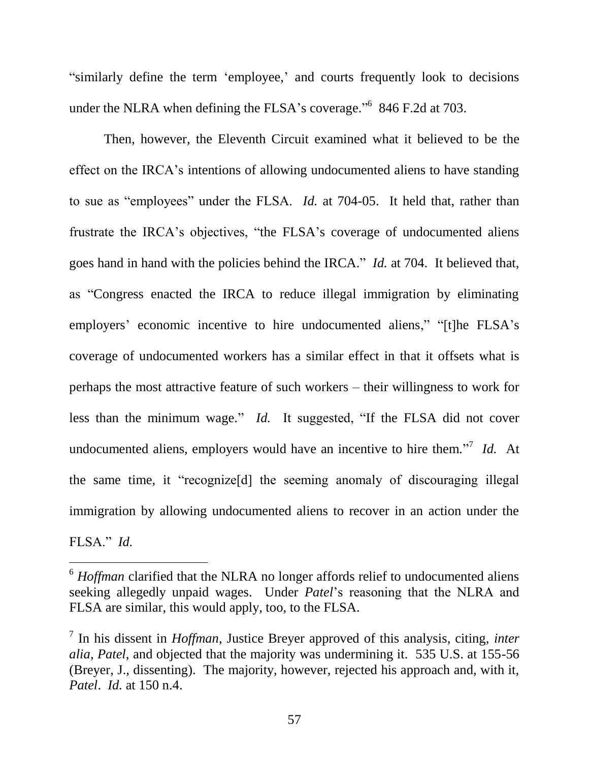"similarly define the term 'employee,' and courts frequently look to decisions under the NLRA when defining the FLSA's coverage."<sup>6</sup> 846 F.2d at 703.

Then, however, the Eleventh Circuit examined what it believed to be the effect on the IRCA's intentions of allowing undocumented aliens to have standing to sue as "employees" under the FLSA. *Id.* at 704-05. It held that, rather than frustrate the IRCA's objectives, "the FLSA's coverage of undocumented aliens goes hand in hand with the policies behind the IRCA." *Id.* at 704. It believed that, as "Congress enacted the IRCA to reduce illegal immigration by eliminating employers' economic incentive to hire undocumented aliens," "[t]he FLSA's coverage of undocumented workers has a similar effect in that it offsets what is perhaps the most attractive feature of such workers – their willingness to work for less than the minimum wage." *Id.* It suggested, "If the FLSA did not cover undocumented aliens, employers would have an incentive to hire them.<sup>"7</sup> Id. At the same time, it "recognize[d] the seeming anomaly of discouraging illegal immigration by allowing undocumented aliens to recover in an action under the FLSA." *Id.*

l

<sup>&</sup>lt;sup>6</sup> *Hoffman* clarified that the NLRA no longer affords relief to undocumented aliens seeking allegedly unpaid wages. Under *Patel*'s reasoning that the NLRA and FLSA are similar, this would apply, too, to the FLSA.

<sup>7</sup> In his dissent in *Hoffman*, Justice Breyer approved of this analysis, citing, *inter alia*, *Patel*, and objected that the majority was undermining it. 535 U.S. at 155-56 (Breyer, J., dissenting). The majority, however, rejected his approach and, with it, *Patel*. *Id.* at 150 n.4.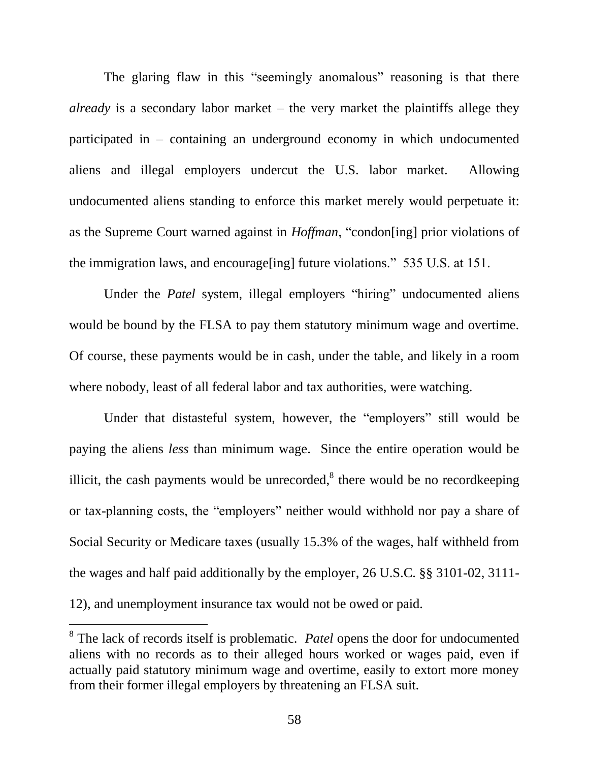The glaring flaw in this "seemingly anomalous" reasoning is that there *already* is a secondary labor market – the very market the plaintiffs allege they participated in – containing an underground economy in which undocumented aliens and illegal employers undercut the U.S. labor market. Allowing undocumented aliens standing to enforce this market merely would perpetuate it: as the Supreme Court warned against in *Hoffman*, "condon[ing] prior violations of the immigration laws, and encourage[ing] future violations." 535 U.S. at 151.

Under the *Patel* system, illegal employers "hiring" undocumented aliens would be bound by the FLSA to pay them statutory minimum wage and overtime. Of course, these payments would be in cash, under the table, and likely in a room where nobody, least of all federal labor and tax authorities, were watching.

Under that distasteful system, however, the "employers" still would be paying the aliens *less* than minimum wage. Since the entire operation would be illicit, the cash payments would be unrecorded, $\delta$  there would be no recordkeeping or tax-planning costs, the "employers" neither would withhold nor pay a share of Social Security or Medicare taxes (usually 15.3% of the wages, half withheld from the wages and half paid additionally by the employer, 26 U.S.C. §§ 3101-02, 3111- 12), and unemployment insurance tax would not be owed or paid.

 $\overline{a}$ 

<sup>&</sup>lt;sup>8</sup> The lack of records itself is problematic. *Patel* opens the door for undocumented aliens with no records as to their alleged hours worked or wages paid, even if actually paid statutory minimum wage and overtime, easily to extort more money from their former illegal employers by threatening an FLSA suit.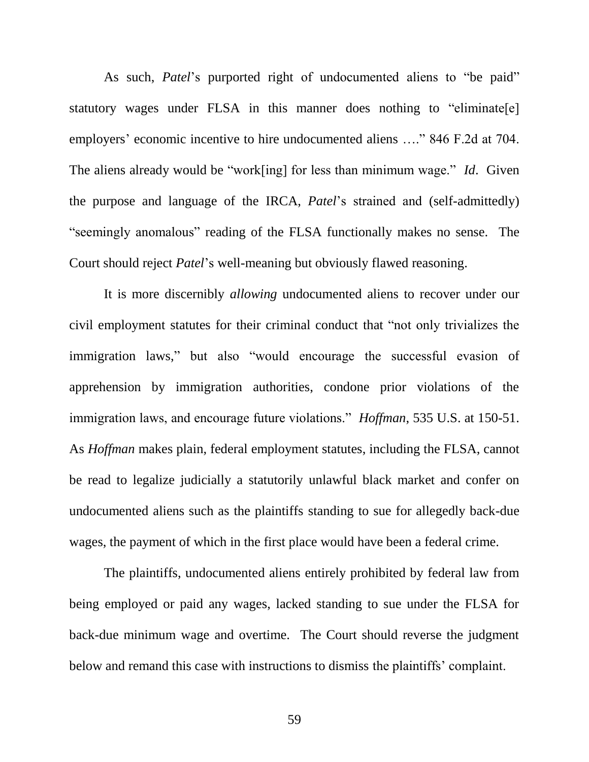As such, *Patel*'s purported right of undocumented aliens to "be paid" statutory wages under FLSA in this manner does nothing to "eliminate[e] employers' economic incentive to hire undocumented aliens …." 846 F.2d at 704. The aliens already would be "work[ing] for less than minimum wage." *Id*. Given the purpose and language of the IRCA, *Patel*'s strained and (self-admittedly) "seemingly anomalous" reading of the FLSA functionally makes no sense. The Court should reject *Patel*'s well-meaning but obviously flawed reasoning.

It is more discernibly *allowing* undocumented aliens to recover under our civil employment statutes for their criminal conduct that "not only trivializes the immigration laws," but also "would encourage the successful evasion of apprehension by immigration authorities, condone prior violations of the immigration laws, and encourage future violations." *Hoffman*, 535 U.S. at 150-51. As *Hoffman* makes plain, federal employment statutes, including the FLSA, cannot be read to legalize judicially a statutorily unlawful black market and confer on undocumented aliens such as the plaintiffs standing to sue for allegedly back-due wages, the payment of which in the first place would have been a federal crime.

The plaintiffs, undocumented aliens entirely prohibited by federal law from being employed or paid any wages, lacked standing to sue under the FLSA for back-due minimum wage and overtime. The Court should reverse the judgment below and remand this case with instructions to dismiss the plaintiffs' complaint.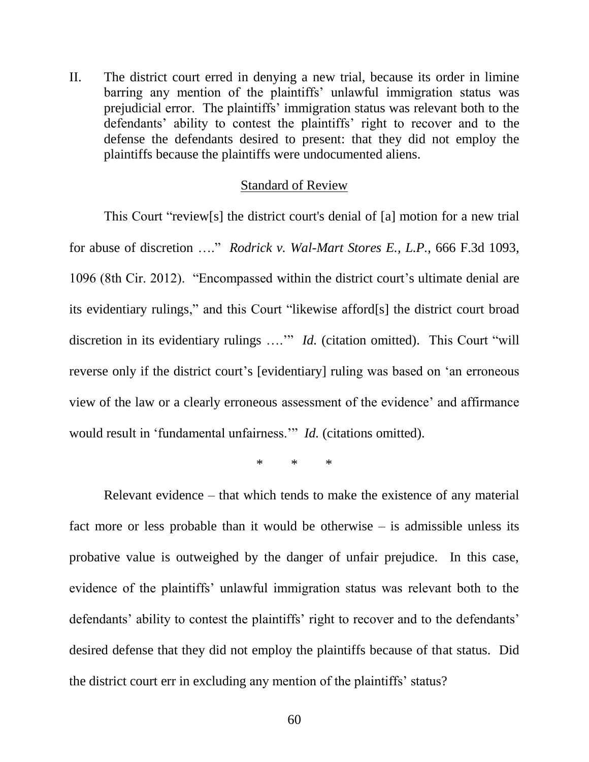II. The district court erred in denying a new trial, because its order in limine barring any mention of the plaintiffs' unlawful immigration status was prejudicial error. The plaintiffs' immigration status was relevant both to the defendants' ability to contest the plaintiffs' right to recover and to the defense the defendants desired to present: that they did not employ the plaintiffs because the plaintiffs were undocumented aliens.

#### Standard of Review

This Court "review[s] the district court's denial of [a] motion for a new trial for abuse of discretion …." *Rodrick v. Wal-Mart Stores E., L.P.*, 666 F.3d 1093, 1096 (8th Cir. 2012). "Encompassed within the district court's ultimate denial are its evidentiary rulings," and this Court "likewise afford[s] the district court broad discretion in its evidentiary rulings ...." *Id.* (citation omitted). This Court "will reverse only if the district court's [evidentiary] ruling was based on 'an erroneous view of the law or a clearly erroneous assessment of the evidence' and affirmance would result in 'fundamental unfairness.'" *Id.* (citations omitted).

\* \* \*

Relevant evidence – that which tends to make the existence of any material fact more or less probable than it would be otherwise – is admissible unless its probative value is outweighed by the danger of unfair prejudice. In this case, evidence of the plaintiffs' unlawful immigration status was relevant both to the defendants' ability to contest the plaintiffs' right to recover and to the defendants' desired defense that they did not employ the plaintiffs because of that status. Did the district court err in excluding any mention of the plaintiffs' status?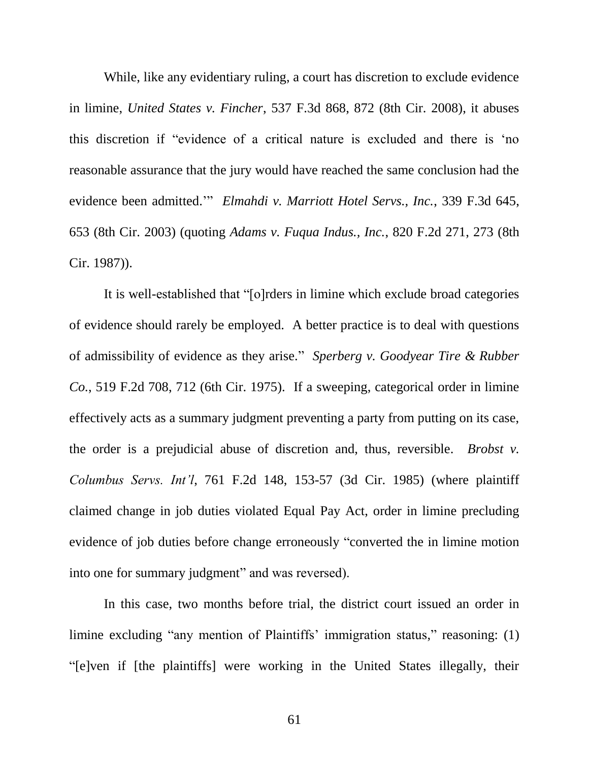While, like any evidentiary ruling, a court has discretion to exclude evidence in limine, *United States v. Fincher*, 537 F.3d 868, 872 (8th Cir. 2008), it abuses this discretion if "evidence of a critical nature is excluded and there is 'no reasonable assurance that the jury would have reached the same conclusion had the evidence been admitted.'" *Elmahdi v. Marriott Hotel Servs., Inc.*, 339 F.3d 645, 653 (8th Cir. 2003) (quoting *Adams v. Fuqua Indus., Inc.*, 820 F.2d 271, 273 (8th Cir. 1987)).

It is well-established that "[o]rders in limine which exclude broad categories of evidence should rarely be employed. A better practice is to deal with questions of admissibility of evidence as they arise." *Sperberg v. Goodyear Tire & Rubber Co.*, 519 F.2d 708, 712 (6th Cir. 1975). If a sweeping, categorical order in limine effectively acts as a summary judgment preventing a party from putting on its case, the order is a prejudicial abuse of discretion and, thus, reversible. *Brobst v. Columbus Servs. Int'l*, 761 F.2d 148, 153-57 (3d Cir. 1985) (where plaintiff claimed change in job duties violated Equal Pay Act, order in limine precluding evidence of job duties before change erroneously "converted the in limine motion into one for summary judgment" and was reversed).

In this case, two months before trial, the district court issued an order in limine excluding "any mention of Plaintiffs' immigration status," reasoning: (1) "[e]ven if [the plaintiffs] were working in the United States illegally, their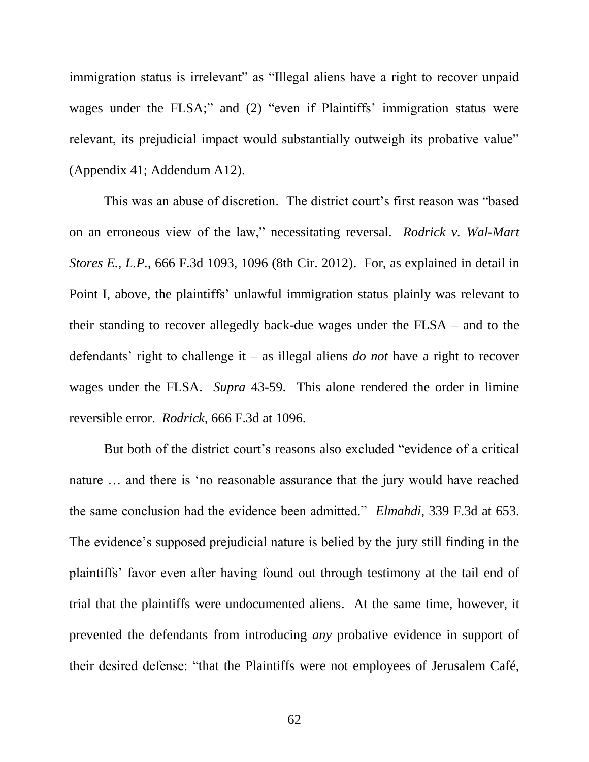immigration status is irrelevant" as "Illegal aliens have a right to recover unpaid wages under the FLSA;" and (2) "even if Plaintiffs' immigration status were relevant, its prejudicial impact would substantially outweigh its probative value" (Appendix 41; Addendum A12).

This was an abuse of discretion. The district court's first reason was "based on an erroneous view of the law," necessitating reversal. *Rodrick v. Wal-Mart Stores E., L.P.*, 666 F.3d 1093, 1096 (8th Cir. 2012). For, as explained in detail in Point I, above, the plaintiffs' unlawful immigration status plainly was relevant to their standing to recover allegedly back-due wages under the FLSA – and to the defendants' right to challenge it – as illegal aliens *do not* have a right to recover wages under the FLSA. *Supra* 43-59. This alone rendered the order in limine reversible error. *Rodrick*, 666 F.3d at 1096.

But both of the district court's reasons also excluded "evidence of a critical nature … and there is 'no reasonable assurance that the jury would have reached the same conclusion had the evidence been admitted." *Elmahdi*, 339 F.3d at 653. The evidence's supposed prejudicial nature is belied by the jury still finding in the plaintiffs' favor even after having found out through testimony at the tail end of trial that the plaintiffs were undocumented aliens. At the same time, however, it prevented the defendants from introducing *any* probative evidence in support of their desired defense: "that the Plaintiffs were not employees of Jerusalem Café,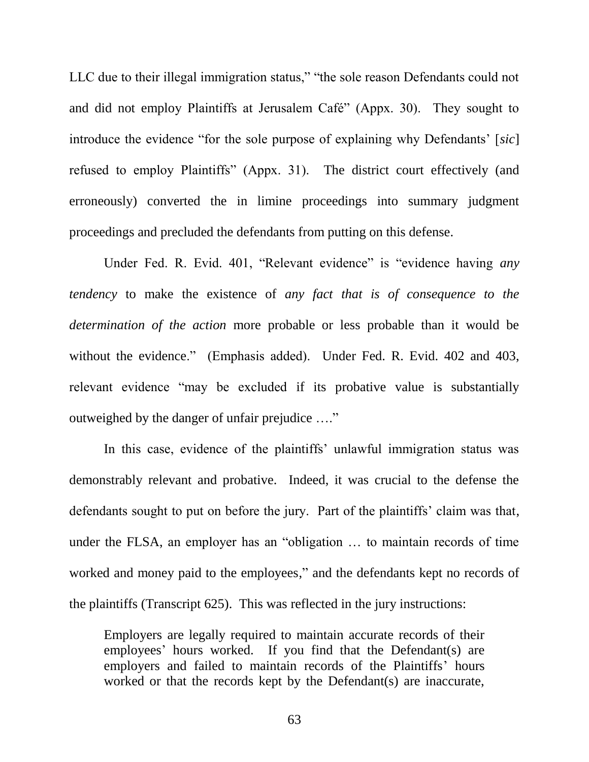LLC due to their illegal immigration status," "the sole reason Defendants could not and did not employ Plaintiffs at Jerusalem Café" (Appx. 30). They sought to introduce the evidence "for the sole purpose of explaining why Defendants' [*sic*] refused to employ Plaintiffs" (Appx. 31). The district court effectively (and erroneously) converted the in limine proceedings into summary judgment proceedings and precluded the defendants from putting on this defense.

Under Fed. R. Evid. 401, "Relevant evidence" is "evidence having *any tendency* to make the existence of *any fact that is of consequence to the determination of the action* more probable or less probable than it would be without the evidence." (Emphasis added). Under Fed. R. Evid. 402 and 403, relevant evidence "may be excluded if its probative value is substantially outweighed by the danger of unfair prejudice …."

In this case, evidence of the plaintiffs' unlawful immigration status was demonstrably relevant and probative. Indeed, it was crucial to the defense the defendants sought to put on before the jury. Part of the plaintiffs' claim was that, under the FLSA, an employer has an "obligation … to maintain records of time worked and money paid to the employees," and the defendants kept no records of the plaintiffs (Transcript 625). This was reflected in the jury instructions:

Employers are legally required to maintain accurate records of their employees' hours worked. If you find that the Defendant(s) are employers and failed to maintain records of the Plaintiffs' hours worked or that the records kept by the Defendant(s) are inaccurate,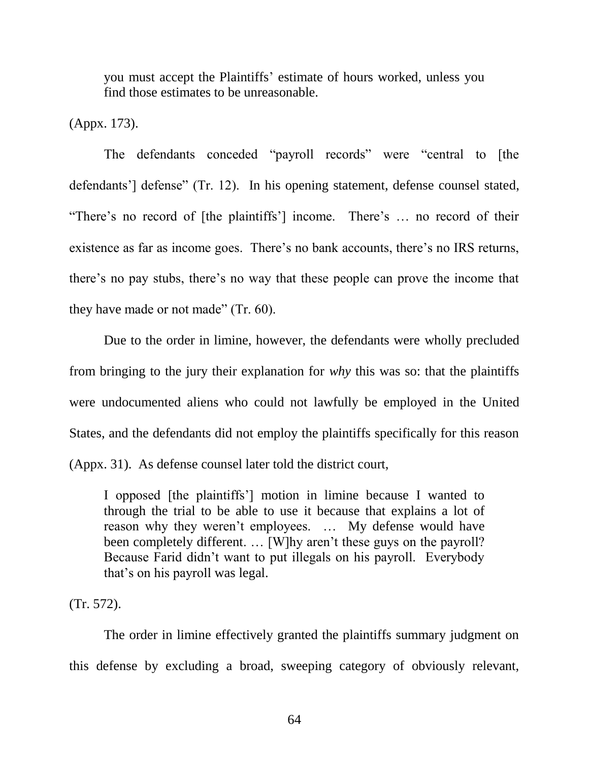you must accept the Plaintiffs' estimate of hours worked, unless you find those estimates to be unreasonable.

(Appx. 173).

The defendants conceded "payroll records" were "central to [the defendants'] defense" (Tr. 12). In his opening statement, defense counsel stated, "There's no record of [the plaintiffs'] income. There's … no record of their existence as far as income goes. There's no bank accounts, there's no IRS returns, there's no pay stubs, there's no way that these people can prove the income that they have made or not made" (Tr. 60).

Due to the order in limine, however, the defendants were wholly precluded from bringing to the jury their explanation for *why* this was so: that the plaintiffs were undocumented aliens who could not lawfully be employed in the United States, and the defendants did not employ the plaintiffs specifically for this reason (Appx. 31). As defense counsel later told the district court,

I opposed [the plaintiffs'] motion in limine because I wanted to through the trial to be able to use it because that explains a lot of reason why they weren't employees. … My defense would have been completely different. … [W]hy aren't these guys on the payroll? Because Farid didn't want to put illegals on his payroll. Everybody that's on his payroll was legal.

(Tr. 572).

The order in limine effectively granted the plaintiffs summary judgment on this defense by excluding a broad, sweeping category of obviously relevant,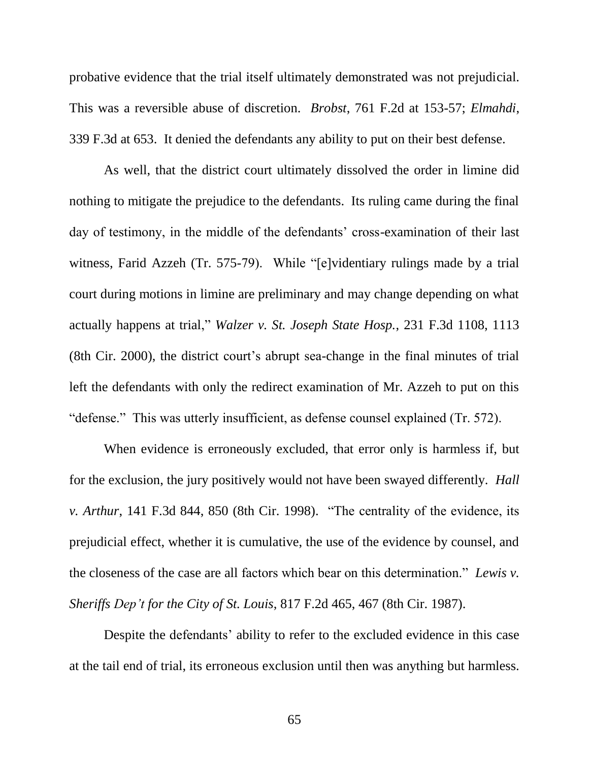probative evidence that the trial itself ultimately demonstrated was not prejudicial. This was a reversible abuse of discretion. *Brobst*, 761 F.2d at 153-57; *Elmahdi*, 339 F.3d at 653. It denied the defendants any ability to put on their best defense.

As well, that the district court ultimately dissolved the order in limine did nothing to mitigate the prejudice to the defendants. Its ruling came during the final day of testimony, in the middle of the defendants' cross-examination of their last witness, Farid Azzeh (Tr. 575-79). While "[e]videntiary rulings made by a trial court during motions in limine are preliminary and may change depending on what actually happens at trial," *Walzer v. St. Joseph State Hosp.*, 231 F.3d 1108, 1113 (8th Cir. 2000), the district court's abrupt sea-change in the final minutes of trial left the defendants with only the redirect examination of Mr. Azzeh to put on this "defense." This was utterly insufficient, as defense counsel explained (Tr. 572).

When evidence is erroneously excluded, that error only is harmless if, but for the exclusion, the jury positively would not have been swayed differently. *Hall v. Arthur*, 141 F.3d 844, 850 (8th Cir. 1998). "The centrality of the evidence, its prejudicial effect, whether it is cumulative, the use of the evidence by counsel, and the closeness of the case are all factors which bear on this determination." *Lewis v. Sheriffs Dep't for the City of St. Louis*, 817 F.2d 465, 467 (8th Cir. 1987).

Despite the defendants' ability to refer to the excluded evidence in this case at the tail end of trial, its erroneous exclusion until then was anything but harmless.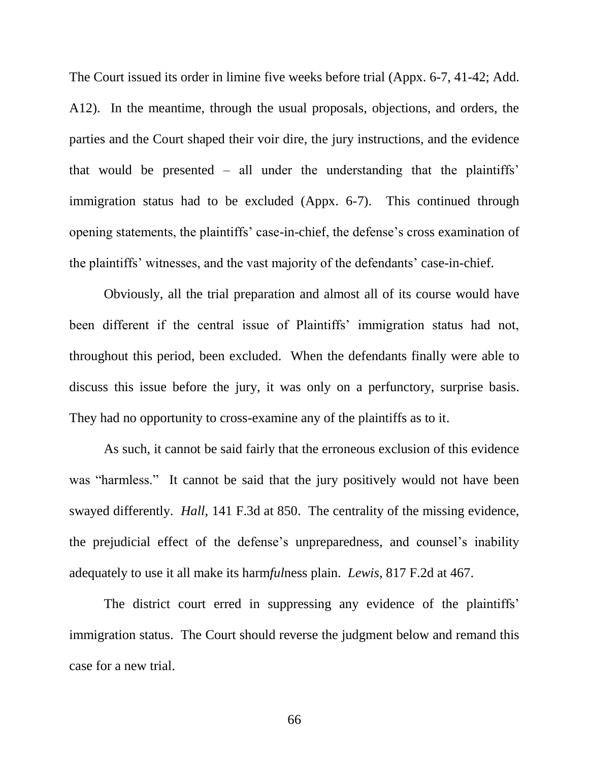The Court issued its order in limine five weeks before trial (Appx. 6-7, 41-42; Add. A12). In the meantime, through the usual proposals, objections, and orders, the parties and the Court shaped their voir dire, the jury instructions, and the evidence that would be presented – all under the understanding that the plaintiffs' immigration status had to be excluded (Appx. 6-7). This continued through opening statements, the plaintiffs' case-in-chief, the defense's cross examination of the plaintiffs' witnesses, and the vast majority of the defendants' case-in-chief.

Obviously, all the trial preparation and almost all of its course would have been different if the central issue of Plaintiffs' immigration status had not, throughout this period, been excluded. When the defendants finally were able to discuss this issue before the jury, it was only on a perfunctory, surprise basis. They had no opportunity to cross-examine any of the plaintiffs as to it.

As such, it cannot be said fairly that the erroneous exclusion of this evidence was "harmless." It cannot be said that the jury positively would not have been swayed differently. *Hall*, 141 F.3d at 850. The centrality of the missing evidence, the prejudicial effect of the defense's unpreparedness, and counsel's inability adequately to use it all make its harm*ful*ness plain. *Lewis*, 817 F.2d at 467.

The district court erred in suppressing any evidence of the plaintiffs' immigration status. The Court should reverse the judgment below and remand this case for a new trial.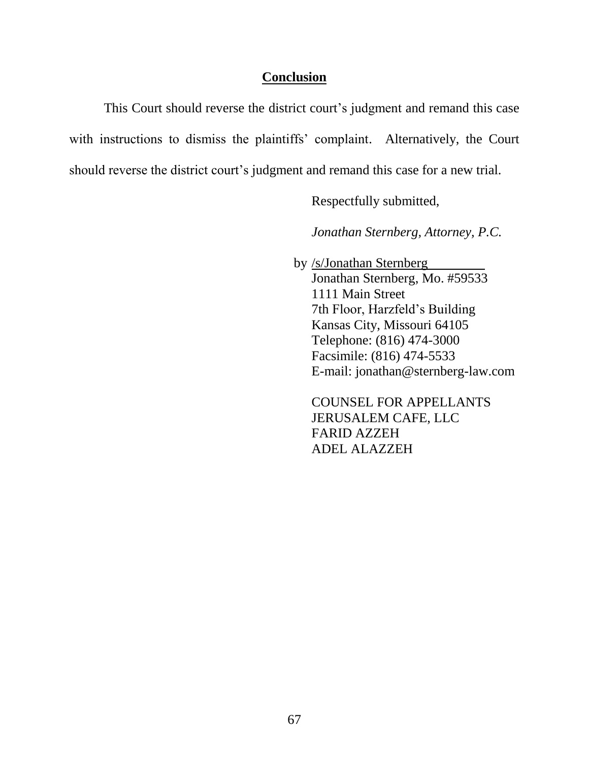## **Conclusion**

This Court should reverse the district court's judgment and remand this case with instructions to dismiss the plaintiffs' complaint. Alternatively, the Court should reverse the district court's judgment and remand this case for a new trial.

Respectfully submitted,

*Jonathan Sternberg, Attorney, P.C.*

 by /s/Jonathan Sternberg Jonathan Sternberg, Mo. #59533 1111 Main Street 7th Floor, Harzfeld's Building Kansas City, Missouri 64105 Telephone: (816) 474-3000 Facsimile: (816) 474-5533 E-mail: jonathan@sternberg-law.com

COUNSEL FOR APPELLANTS JERUSALEM CAFE, LLC FARID AZZEH ADEL ALAZZEH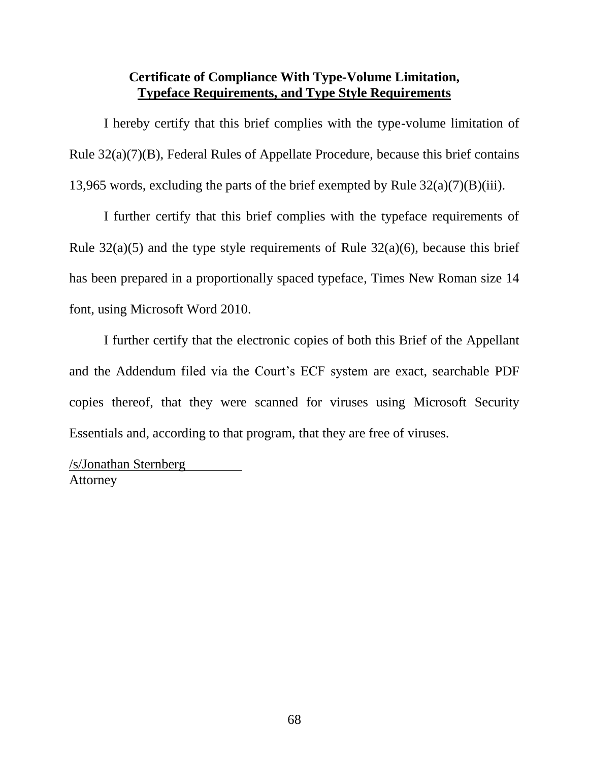## **Certificate of Compliance With Type-Volume Limitation, Typeface Requirements, and Type Style Requirements**

I hereby certify that this brief complies with the type-volume limitation of Rule 32(a)(7)(B), Federal Rules of Appellate Procedure, because this brief contains 13,965 words, excluding the parts of the brief exempted by Rule 32(a)(7)(B)(iii).

I further certify that this brief complies with the typeface requirements of Rule  $32(a)(5)$  and the type style requirements of Rule  $32(a)(6)$ , because this brief has been prepared in a proportionally spaced typeface, Times New Roman size 14 font, using Microsoft Word 2010.

I further certify that the electronic copies of both this Brief of the Appellant and the Addendum filed via the Court's ECF system are exact, searchable PDF copies thereof, that they were scanned for viruses using Microsoft Security Essentials and, according to that program, that they are free of viruses.

/s/Jonathan Sternberg Attorney